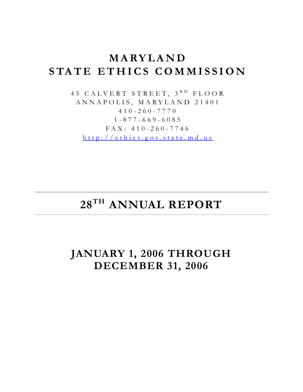# **MARYLAND STATE ETHICS COMMISSION**

45 CALVERT STREET, 3<sup>RD</sup> FLOOR ANNAPOLIS, MARYLAND 21401 410-260-7770 1-877-669-6085 FAX: 410-260-7746 [http://ethics.g ov.state.md.us](http://ethics.gov.state.md.us/)

# **28TH ANNUAL REPORT**

**JANUARY 1, 2006 THROUGH DECEMBER 31, 2006**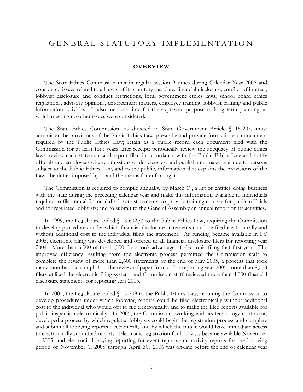#### **OVERVIEW**

The State Ethics Commission met in regular session 9 times during Calendar Year 2006 and considered issues related to all areas of its statutory mandate: financial disclosure, conflict of interest, lobbyist disclosure and conduct restrictions, local government ethics laws, school board ethics regulations, advisory opinions, enforcement matters, employee training, lobbyist training and public information activities. It also met one time for the expressed purpose of long term planning, at which meeting no other issues were considered.

The State Ethics Commission, as directed in State Government Article § 15-205, must administer the provisions of the Public Ethics Law; prescribe and provide forms for each document required by the Public Ethics Law; retain as a public record each document filed with the Commission for at least four years after receipt; periodically review the adequacy of public ethics laws; review each statement and report filed in accordance with the Public Ethics Law and notify officials and employees of any omissions or deficiencies; and publish and make available to persons subject to the Public Ethics Law, and to the public, information that explains the provisions of the Law, the duties imposed by it, and the means for enforcing it.

The Commission is required to compile annually, by March  $1<sup>st</sup>$ , a list of entities doing business with the state during the preceding calendar year and make this information available to individuals required to file annual financial disclosure statements; to provide training courses for public officials and for regulated lobbyists; and to submit to the General Assembly an annual report on its activities.

In 1999, the Legislature added  $\S$  15-602(d) to the Public Ethics Law, requiring the Commission to develop procedures under which financial disclosure statements could be filed electronically and without additional cost to the individual filing the statement. As funding became available in FY 2005, electronic filing was developed and offered to all financial disclosure filers for reporting year 2004. More than 6,000 of the 11,000 filers took advantage of electronic filing that first year. The improved efficiency resulting from the electronic process permitted the Commission staff to complete the review of more than 2,600 statements by the end of May 2005, a process that took many months to accomplish in the review of paper forms. For reporting year 2005, more than 8,000 filers utilized the electronic filing system, and Commission staff reviewed more than 4,000 financial disclosure statements for reporting year 2005.

In 2001, the Legislature added § 15-709 to the Public Ethics Law, requiring the Commission to develop procedures under which lobbying reports could be filed electronically without additional cost to the individual who would opt to file electronically, and to make the filed reports available for public inspection electronically. In 2005, the Commission, working with its technology contractor, developed a process by which regulated lobbyists could begin the registration process and complete and submit all lobbying reports electronically and by which the public would have immediate access to electronically submitted reports. Electronic registration for lobbyists became available November 1, 2005, and electronic lobbying reporting for event reports and activity reports for the lobbying period of November 1, 2005 through April 30, 2006 was on-line before the end of calendar year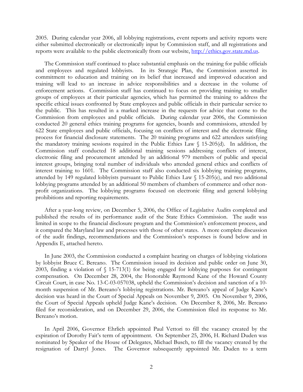2005. During calendar year 2006, all lobbying registrations, event reports and activity reports were either submitted electronically or electronically input by Commission staff, and all registrations and reports were available to the public electronically from our website, [http://ethics.gov.state.md.us.](https://ethics.gov.state.md.us/)

The Commission staff continued to place substantial emphasis on the training for public officials and employees and regulated lobbyists. In its Strategic Plan, the Commission asserted its commitment to education and training on its belief that increased and improved education and training will lead to an increase in advice responsibilities and a decrease in the volume of enforcement actions. Commission staff has continued to focus on providing training to smaller groups of employees at their particular agencies, which has permitted the training to address the specific ethical issues confronted by State employees and public officials in their particular service to the public. This has resulted in a marked increase in the requests for advice that come to the Commission from employees and public officials. During calendar year 2006, the Commission conducted 20 general ethics training programs for agencies, boards and commissions, attended by 622 State employees and public officials, focusing on conflicts of interest and the electronic filing process for financial disclosure statements. The 20 training programs and 622 attendees satisfying the mandatory training sessions required in the Public Ethics Law § 15-205(d). In addition, the Commission staff conducted 18 additional training sessions addressing conflicts of interest, electronic filing and procurement attended by an additional 979 members of public and special interest groups, bringing total number of individuals who attended general ethics and conflicts of interest training to 1601. The Commission staff also conducted six lobbying training programs, attended by 149 regulated lobbyists pursuant to Public Ethics Law § 15-205(e), and two additional lobbying programs attended by an additional 50 members of chambers of commerce and other nonprofit organizations. The lobbying programs focused on electronic filing and general lobbying prohibitions and reporting requirements.

After a year-long review, on December 5, 2006, the Office of Legislative Audits completed and published the results of its performance audit of the State Ethics Commission. The audit was limited in scope to the financial disclosure program and the Commission's enforcement process, and it compared the Maryland law and processes with those of other states. A more complete discussion of the audit findings, recommendations and the Commission's responses is found below and in Appendix E, attached hereto.

In June 2003, the Commission conducted a complaint hearing on charges of lobbying violations by lobbyist Bruce C. Bereano. The Commission issued its decision and public order on June 30, 2003, finding a violation of § 15-713(1) for being engaged for lobbying purposes for contingent compensation. On December 28, 2004, the Honorable Raymond Kane of the Howard County Circuit Court, in case No. 13-C-03-057038, upheld the Commission's decision and sanction of a 10 month suspension of Mr. Bereano's lobbying registrations. Mr. Bereano's appeal of Judge Kane's decision was heard in the Court of Special Appeals on November 9, 2005. On November 9, 2006, the Court of Special Appeals upheld Judge Kane's decision. On December 8, 2006, Mr. Bereano filed for reconsideration, and on December 29, 2006, the Commission filed its response to Mr. Bereano's motion.

In April 2006, Governor Ehrlich appointed Paul Vettori to fill the vacancy created by the expiration of Dorothy Fait's term of appointment. On September 25, 2006, H. Richard Duden was nominated by Speaker of the House of Delegates, Michael Busch, to fill the vacancy created by the resignation of Darryl Jones. The Governor subsequently appointed Mr. Duden to a term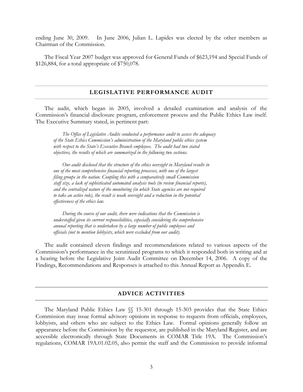ending June 30, 2009. In June 2006, Julian L. Lapides was elected by the other members as Chairman of the Commission.

The Fiscal Year 2007 budget was approved for General Funds of \$623,194 and Special Funds of \$126,884, for a total appropriate of \$750,078.

#### **LEGISLATIVE PERFORMANCE AUDIT**

The audit, which began in 2005, involved a detailed examination and analysis of the Commission's financial disclosure program, enforcement process and the Public Ethics Law itself. The Executive Summary stated, in pertinent part:

*The Office of Legislative Audits conducted a performance audit to assess the adequacy of the State Ethics Commission's administration of the Maryland public ethics system*  with respect to the State's Executive Branch employees. The audit had two stated *objectives, the results of which are summarized in the following two sections.* 

*Our audit disclosed that the structure of the ethics oversight in Maryland results in one of the most comprehensive financial reporting processes, with one of the largest filing groups in the nation. Coupling this with a comparatively small Commission staff size, a lack of sophisticated automated analysis tools (to review financial reports), and the centralized nature of the monitoring (in which State agencies are not required to take an active role), the result is weak oversight and a reduction in the potential effectiveness of the ethics law.* 

*During the course of our audit, there were indications that the Commission is understaffed given its current responsibilities, especially considering the comprehensive annual reporting that is undertaken by a large number of public employees and officials (not to mention lobbyists, which were excluded from our audit).* 

The audit contained eleven findings and recommendations related to various aspects of the Commission's performance in the scrutinized programs to which it responded both in writing and at a hearing before the Legislative Joint Audit Committee on December 14, 2006. A copy of the Findings, Recommendations and Responses is attached to this Annual Report as Appendix E.

#### **ADVICE ACTIVITIES**

The Maryland Public Ethics Law §§ 15-301 through 15-303 provides that the State Ethics Commission may issue formal advisory opinions in response to requests from officials, employees, lobbyists, and others who are subject to the Ethics Law. Formal opinions generally follow an appearance before the Commission by the requestor, are published in the Maryland Register, and are accessible electronically through State Documents in COMAR Title 19A. The Commission's regulations, COMAR 19A.01.02.05, also permit the staff and the Commission to provide informal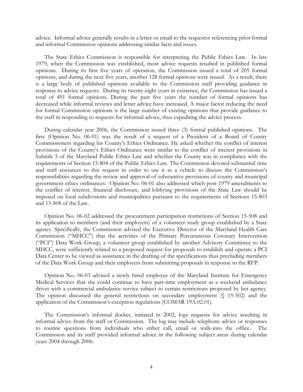advice. Informal advice generally results in a letter or email to the requestor referencing prior formal and informal Commission opinions addressing similar facts and issues.

The State Ethics Commission is responsible for interpreting the Public Ethics Law. In late 1979, when the Commission was established, most advice requests resulted in published formal opinions. During its first five years of operation, the Commission issued a total of 205 formal opinions, and during the next five years, another 128 formal opinions were issued. As a result, there is a large body of published opinions available to the Commission staff providing guidance in response to advice requests. During its twenty-eight years in existence, the Commission has issued a total of 491 formal opinions. During the past five years the number of formal opinions has decreased while informal reviews and letter advice have increased. A major factor reducing the need for formal Commission opinions is the large number of existing opinions that provide guidance to the staff in responding to requests for informal advice, thus expediting the advice process.

During calendar year 2006, the Commission issued three (3) formal published opinions. The first (Opinion No. 06-01) was the result of a request of a President of a Board of County Commissioners regarding his County's Ethics Ordinance. He asked whether the conflict of interest provisions of the County's Ethics Ordinance were similar to the conflict of interest provisions in Subtitle 5 of the Maryland Public Ethics Law and whether the County was in compliance with the requirements of Section 15-804 of the Public Ethics Law. The Commission devoted substantial time and staff resources to this request in order to use it as a vehicle to discuss the Commission's responsibilities regarding the review and approval of substantive provisions of county and municipal government ethics ordinances. Opinion No. 06-01 also addressed which post-1979 amendments to the conflict of interest, financial disclosure, and lobbying provisions of the State Law should be imposed on local subdivisions and municipalities pursuant to the requirements of Sections 15-803 and 15-808 of the Law.

Opinion No. 06-02 addressed the procurement participation restrictions of Section 15-508 and its application to members (and their employers) of a volunteer study group established by a State agency. Specifically, the Commission advised the Executive Director of the Maryland Health Care Commission ("MHCC") that the activities of the Primary Percutaneous Coronary Intervention ("PCI") Data Work Group, a volunteer group established by another Advisory Committee to the MHCC, were sufficiently related to a proposed request for proposals to establish and operate a PCI Data Center to be viewed as assistance in the drafting of the specifications thus precluding members of the Data Work Group and their employers from submitting proposals in response to the RFP.

Opinion No. 06-03 advised a newly hired employee of the Maryland Institute for Emergency Medical Services that she could continue to have part-time employment as a weekend ambulance driver with a commercial ambulance service subject to certain restrictions proposed by her agency. The opinion discussed the general restrictions on secondary employment (§ 15-502) and the application of the Commission's exception regulations (COMAR 19A.02.01).

The Commission's informal docket, initiated in 2002, logs requests for advice resulting in informal advice from the staff or Commission. The log may include telephone advice or responses to routine questions from individuals who either call, email or walk-into the office. The Commission and its staff provided informal advice in the following subject areas during calendar years 2004 through 2006: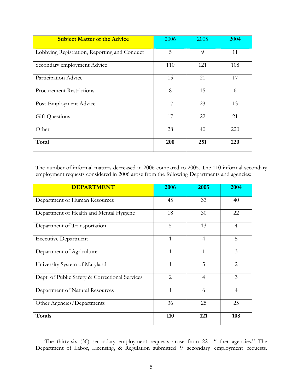| <b>Subject Matter of the Advice</b>          | 2006 | 2005 | 2004 |
|----------------------------------------------|------|------|------|
| Lobbying Registration, Reporting and Conduct | 5    | 9    | 11   |
| Secondary employment Advice                  | 110  | 121  | 108  |
| Participation Advice                         | 15   | 21   | 17   |
| <b>Procurement Restrictions</b>              | 8    | 15   | 6    |
| Post-Employment Advice                       | 17   | 23   | 13   |
| Gift Questions                               | 17   | 22   | 21   |
| Other                                        | 28   | 40   | 220  |
| Total                                        | 200  | 251  | 220  |

The number of informal matters decreased in 2006 compared to 2005. The 110 informal secondary employment requests considered in 2006 arose from the following Departments and agencies:

| <b>DEPARTMENT</b>                              | 2006           | 2005           | 2004           |
|------------------------------------------------|----------------|----------------|----------------|
| Department of Human Resources                  | 45             | 33             | 40             |
| Department of Health and Mental Hygiene        | 18             | 30             | 22             |
| Department of Transportation                   | 5              | 13             | $\overline{4}$ |
| <b>Executive Department</b>                    | 1              | $\overline{4}$ | 5              |
| Department of Agriculture                      | 1              | $\mathbf{1}$   | 3              |
| University System of Maryland                  | 1              | 5              | $\mathcal{L}$  |
| Dept. of Public Safety & Correctional Services | $\overline{2}$ | $\overline{4}$ | $\overline{3}$ |
| Department of Natural Resources                | 1              | 6              | $\overline{4}$ |
| Other Agencies/Departments                     | 36             | 25             | 25             |
| Totals                                         | 110            | 121            | 108            |

The thirty-six (36) secondary employment requests arose from 22 "other agencies." The Department of Labor, Licensing, & Regulation submitted 9 secondary employment requests.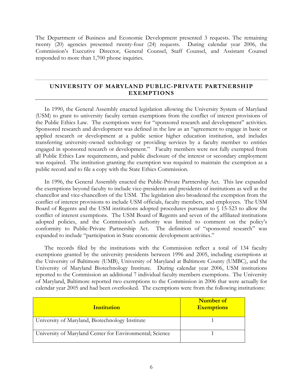The Department of Business and Economic Development presented 3 requests. The remaining twenty (20) agencies presented twenty-four (24) requests. During calendar year 2006, the Commission's Executive Director, General Counsel, Staff Counsel, and Assistant Counsel responded to more than 1,700 phone inquiries.

#### **UNIVERSITY OF MARYLAND PUBLIC-PRIVATE PARTNERSHIP EXEMPTIONS**

In 1990, the General Assembly enacted legislation allowing the University System of Maryland (USM) to grant to university faculty certain exemptions from the conflict of interest provisions of the Public Ethics Law. The exemptions were for "sponsored research and development" activities. Sponsored research and development was defined in the law as an "agreement to engage in basic or applied research or development at a public senior higher education institution, and includes transferring university-owned technology or providing services by a faculty member to entities engaged in sponsored research or development." Faculty members were not fully exempted from all Public Ethics Law requirements, and public disclosure of the interest or secondary employment was required. The institution granting the exemption was required to maintain the exemption as a public record and to file a copy with the State Ethics Commission.

In 1996, the General Assembly enacted the Public-Private Partnership Act. This law expanded the exemptions beyond faculty to include vice-presidents and presidents of institutions as well as the chancellor and vice-chancellors of the USM. The legislation also broadened the exemption from the conflict of interest provisions to include USM officials, faculty members, and employees. The USM Board of Regents and the USM institutions adopted procedures pursuant to § 15-523 to allow the conflict of interest exemptions. The USM Board of Regents and seven of the affiliated institutions adopted policies, and the Commission's authority was limited to comment on the policy's conformity to Public-Private Partnership Act. The definition of "sponsored research" was expanded to include "participation in State economic development activities."

The records filed by the institutions with the Commission reflect a total of 134 faculty exemptions granted by the university presidents between 1996 and 2005, including exemptions at the University of Baltimore (UMB), University of Maryland at Baltimore County (UMBC), and the University of Maryland Biotechnology Institute. During calendar year 2006, USM institutions reported to the Commission an additional 7 individual faculty members exemptions. The University of Maryland, Baltimore reported two exemptions to the Commission in 2006 that were actually for calendar year 2005 and had been overlooked. The exemptions were from the following institutions:

| <b>Institution</b>                                       | Number of<br><b>Exemptions</b> |
|----------------------------------------------------------|--------------------------------|
| University of Maryland, Biotechnology Institute          |                                |
| University of Maryland Center for Environmental; Science |                                |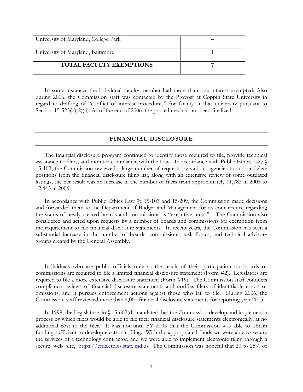| University of Maryland, College Park |  |
|--------------------------------------|--|
| University of Maryland, Baltimore    |  |
| TOTAL FACULTY EXEMPTIONS             |  |

In some instances the individual faculty member had more than one interest exempted. Also during 2006, the Commission staff was contacted by the Provost at Coppin State University in regard to drafting of "conflict of interest procedures" for faculty at that university pursuant to Section 15-523(b)(2)(ii). As of the end of 2006, the procedures had not been finalized.

#### **FINANCIAL DISCLOSURE**

The financial disclosure program continued to identify those required to file, provide technical assistance to filers, and monitor compliance with the Law. In accordance with Public Ethics Law § 15-103, the Commission reviewed a large number of requests by various agencies to add or delete positions from the financial disclosure filing list, along with an extensive review of some outdated listings, the net result was an increase in the number of filers from approximately 11,783 in 2005 to 12,445 in 2006.

In accordance with Public Ethics Law §§ 15-103 and 15-209, the Commission made decisions and forwarded them to the Department of Budget and Management for its concurrence regarding the status of newly created boards and commissions as "executive units." The Commission also considered and acted upon requests by a number of boards and commissions for exemption from the requirement to file financial disclosure statements. In recent years, the Commission has seen a substantial increase in the number of boards, commissions, task forces, and technical advisory groups created by the General Assembly.

Individuals who are public officials only as the result of their participation on boards or commissions are required to file a limited financial disclosure statement (Form #2). Legislators are required to file a more extensive disclosure statement (Form #19). The Commission staff conducts compliance reviews of financial disclosure statements and notifies filers of identifiable errors or omissions, and it pursues enforcement actions against those who fail to file. During 2006, the Commission staff reviewed more than 4,000 financial disclosure statements for reporting year 2005.

In 1999, the Legislature, in § 15-602(d) mandated that the Commission develop and implement a process by which filers would be able to file their financial disclosure statements electronically, at no additional cost to the filer. It was not until FY 2005 that the Commission was able to obtain funding sufficient to develop electronic filing. With the appropriated funds we were able to secure the services of a technology contractor, and we were able to implement electronic filing through a secure web site, [https://efds.ethics.state.md.us](https://efds.ethics.state.md.us/). The Commission was hopeful that 20 to 25% of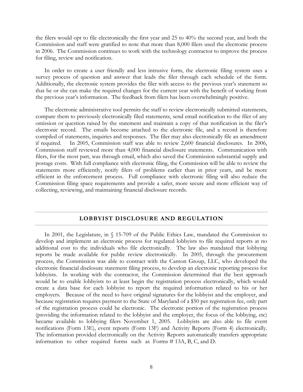the filers would opt to file electronically the first year and 25 to 40% the second year, and both the Commission and staff were gratified to note that more than 8,000 filers used the electronic process in 2006. The Commission continues to work with the technology contractor to improve the process for filing, review and notification.

In order to create a user friendly and less intrusive form, the electronic filing system uses a survey process of question and answer that leads the filer through each schedule of the form. Additionally, the electronic system provides the filer with access to the previous year's statement so that he or she can make the required changes for the current year with the benefit of working from the previous year's information. The feedback from filers has been overwhelmingly positive.

The electronic administrative tool permits the staff to review electronically submitted statements, compare them to previously electronically filed statements, send email notification to the filer of any omission or question raised by the statement and maintain a copy of that notification in the filer's electronic record. The emails become attached to the electronic file, and a record is therefore compiled of statements, inquiries and responses. The filer may also electronically file an amendment if required. In 2005, Commission staff was able to review 2,600 financial disclosures. In 2006, Commission staff reviewed more than 4,000 financial disclosure statements. Communication with filers, for the most part, was through email, which also saved the Commission substantial supply and postage costs. With full compliance with electronic filing, the Commission will be able to review the statements more efficiently, notify filers of problems earlier than in prior years, and be more efficient in the enforcement process. Full compliance with electronic filing will also reduce the Commission filing space requirements and provide a safer, more secure and more efficient way of collecting, reviewing, and maintaining financial disclosure records.

#### **LOBBYIST DISCLOSURE AND REGULATION**

In 2001, the Legislature, in  $\sqrt{5}$  15-709 of the Public Ethics Law, mandated the Commission to develop and implement an electronic process for regulated lobbyists to file required reports at no additional cost to the individuals who file electronically. The law also mandated that lobbying reports be made available for public review electronically. In 2005, through the procurement process, the Commission was able to contract with the Canton Group, LLC, who developed the electronic financial disclosure statement filing process, to develop an electronic reporting process for lobbyists. In working with the contractor, the Commission determined that the best approach would be to enable lobbyists to at least begin the registration process electronically, which would create a data base for each lobbyist to report the required information related to his or her employers. Because of the need to have original signatures for the lobbyist and the employer, and because registration requires payment to the State of Maryland of a \$50 per registration fee, only part of the registration process could be electronic. The electronic portion of the registration process (providing the information related to the lobbyist and the employer, the focus of the lobbying, etc) became available to lobbying filers November 1, 2005. Lobbyists are also able to file event notifications (Form 13E), event reports (Form 13F) and Activity Reports (Form 4) electronically. The information provided electronically on the Activity Reports automatically transfers appropriate information to other required forms such as Forms # 13A, B, C, and D.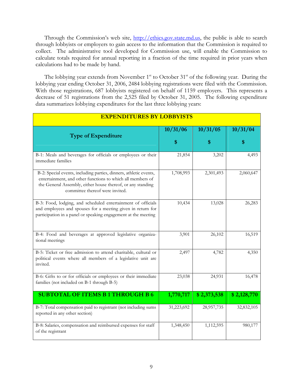Through the Commission's web site, [http://ethics.gov.state.md.us,](http://ethics.gov.state.md.us/) the public is able to search through lobbyists or employers to gain access to the information that the Commission is required to collect. The administrative tool developed for Commission use, will enable the Commission to calculate totals required for annual reporting in a fraction of the time required in prior years when calculations had to be made by hand.

The lobbying year extends from November 1<sup>st</sup> to October 31<sup>st</sup> of the following year. During the lobbying year ending October 31, 2006, 2484 lobbying registrations were filed with the Commission. With those registrations, 687 lobbyists registered on behalf of 1159 employers. This represents a decrease of 51 registrations from the 2,525 filed by October 31, 2005. The following expenditure data summarizes lobbying expenditures for the last three lobbying years:

| <b>EXPENDITURES BY LOBBYISTS</b>                                                                                                                                                                                                  |            |             |             |
|-----------------------------------------------------------------------------------------------------------------------------------------------------------------------------------------------------------------------------------|------------|-------------|-------------|
| <b>Type of Expenditure</b>                                                                                                                                                                                                        | 10/31/06   | 10/31/05    | 10/31/04    |
|                                                                                                                                                                                                                                   | \$         | \$          | \$          |
| B-1: Meals and beverages for officials or employees or their<br>immediate families                                                                                                                                                | 21,854     | 3,202       | 4,493       |
| B-2: Special events, including parties, dinners, athletic events,<br>entertainment, and other functions to which all members of<br>the General Assembly, either house thereof, or any standing<br>committee thereof were invited. | 1,708,993  | 2,301,493   | 2,060,647   |
| B-3: Food, lodging, and scheduled entertainment of officials<br>and employees and spouses for a meeting given in return for<br>participation in a panel or speaking engagement at the meeting                                     | 10,434     | 13,028      | 26,283      |
| B-4: Food and beverages at approved legislative organiza-<br>tional meetings                                                                                                                                                      | 3,901      | 26,102      | 16,519      |
| B-5: Ticket or free admission to attend charitable, cultural or<br>political events where all members of a legislative unit are<br>invited.                                                                                       | 2,497      | 4,782       | 4,350       |
| B-6: Gifts to or for officials or employees or their immediate<br>families (not included on B-1 through B-5)                                                                                                                      | 23,038     | 24,931      | 16,478      |
| <b>SUBTOTAL OF ITEMS B1THROUGH B6</b>                                                                                                                                                                                             | 1,770,717  | \$2,373,538 | \$2,128,770 |
| B-7: Total compensation paid to registrant (not including sums<br>reported in any other section)                                                                                                                                  | 31,223,692 | 28,957,735  | 32,832,105  |
| B-8: Salaries, compensation and reimbursed expenses for staff<br>of the registrant                                                                                                                                                | 1,348,450  | 1,112,595   | 980,177     |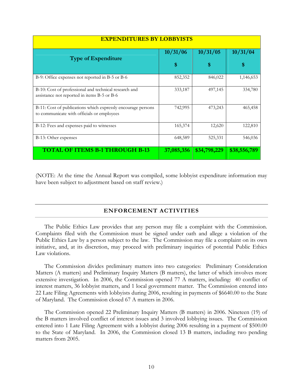| <b>EXPENDITURES BY LOBBYISTS</b>                                                                           |            |              |              |
|------------------------------------------------------------------------------------------------------------|------------|--------------|--------------|
| <b>Type of Expenditure</b>                                                                                 | 10/31/06   | 10/31/05     | 10/31/04     |
|                                                                                                            | \$         | \$           | S            |
| B-9: Office expenses not reported in B-5 or B-6                                                            | 852,352    | 846,022      | 1,146,653    |
| B-10: Cost of professional and technical research and<br>assistance not reported in items B-5 or B-6       | 333,187    | 497,145      | 334,780      |
| B-11: Cost of publications which expressly encourage persons<br>to communicate with officials or employees | 742,995    | 473,243      | 465,458      |
| B-12: Fees and expenses paid to witnesses                                                                  | 165,374    | 12,620       | 122,810      |
| B-13: Other expenses                                                                                       | 648,589    | 525,331      | 546,036      |
| <b>TOTAL OF ITEMS B-1 THROUGH B-13</b>                                                                     | 37,085,356 | \$34,798,229 | \$38,556,789 |

(NOTE: At the time the Annual Report was compiled, some lobbyist expenditure information may have been subject to adjustment based on staff review.)

#### **ENFORCEMENT ACTIVITIES**

The Public Ethics Law provides that any person may file a complaint with the Commission. Complaints filed with the Commission must be signed under oath and allege a violation of the Public Ethics Law by a person subject to the law. The Commission may file a complaint on its own initiative, and, at its discretion, may proceed with preliminary inquiries of potential Public Ethics Law violations.

The Commission divides preliminary matters into two categories: Preliminary Consideration Matters (A matters) and Preliminary Inquiry Matters (B matters), the latter of which involves more extensive investigation. In 2006, the Commission opened 77 A matters, including: 40 conflict of interest matters, 36 lobbyist matters, and 1 local government matter. The Commission entered into 22 Late Filing Agreements with lobbyists during 2006, resulting in payments of \$6640.00 to the State of Maryland. The Commission closed 67 A matters in 2006.

The Commission opened 22 Preliminary Inquiry Matters (B matters) in 2006. Nineteen (19) of the B matters involved conflict of interest issues and 3 involved lobbying issues. The Commission entered into 1 Late Filing Agreement with a lobbyist during 2006 resulting in a payment of \$500.00 to the State of Maryland. In 2006, the Commission closed 13 B matters, including two pending matters from 2005.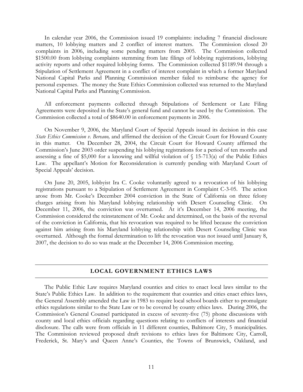In calendar year 2006, the Commission issued 19 complaints: including 7 financial disclosure matters, 10 lobbying matters and 2 conflict of interest matters. The Commission closed 20 complaints in 2006, including some pending matters from 2005. The Commission collected \$1500.00 from lobbying complaints stemming from late filings of lobbying registrations, lobbying activity reports and other required lobbying forms. The Commission collected \$1189.94 through a Stipulation of Settlement Agreement in a conflict of interest complaint in which a former Maryland National Capital Parks and Planning Commission member failed to reimburse the agency for personal expenses. The money the State Ethics Commission collected was returned to the Maryland National Capital Parks and Planning Commission.

 All enforcement payments collected through Stipulations of Settlement or Late Filing Agreements were deposited in the State's general fund and cannot be used by the Commission. The Commission collected a total of \$8640.00 in enforcement payments in 2006.

 On November 9, 2006, the Maryland Court of Special Appeals issued its decision in this case *State Ethics Commission v. Bereano,* and affirmed the decision of the Circuit Court for Howard County in this matter. On December 28, 2004, the Circuit Court for Howard County affirmed the Commission's June 2003 order suspending his lobbying registrations for a period of ten months and assessing a fine of \$5,000 for a knowing and willful violation of  $\S$  15-713(a) of the Public Ethics Law. The appellant's Motion for Reconsideration is currently pending with Maryland Court of Special Appeals' decision.

On June 20, 2005, lobbyist Ira C. Cooke voluntarily agreed to a revocation of his lobbying registrations pursuant to a Stipulation of Settlement Agreement in Complaint C-3-05. The action arose from Mr. Cooke's December 2004 conviction in the State of California on three felony charges arising from his Maryland lobbying relationship with Desert Counseling Clinic. On December 11, 2006, the conviction was overturned. At it's December 14, 2006 meeting, the Commission considered the reinstatement of Mr. Cooke and determined, on the basis of the reversal of the conviction in California, that his revocation was required to be lifted because the conviction against him arising from his Maryland lobbying relationship with Desert Counseling Clinic was overturned. Although the formal determination to lift the revocation was not issued until January 8, 2007, the decision to do so was made at the December 14, 2006 Commission meeting.

#### **LOCAL GOVERNMENT ETHICS LAWS**

The Public Ethic Law requires Maryland counties and cities to enact local laws similar to the State's Public Ethics Law. In addition to the requirement that counties and cities enact ethics laws, the General Assembly amended the Law in 1983 to require local school boards either to promulgate ethics regulations similar to the State Law or to be covered by county ethics laws. During 2006, the Commission's General Counsel participated in excess of seventy-five (75) phone discussions with county and local ethics officials regarding questions relating to conflicts of interests and financial disclosure. The calls were from officials in 11 different counties, Baltimore City, 5 municipalities. The Commission reviewed proposed draft revisions to ethics laws for Baltimore City, Carroll, Frederick, St. Mary's and Queen Anne's Counties, the Towns of Brunswick, Oakland, and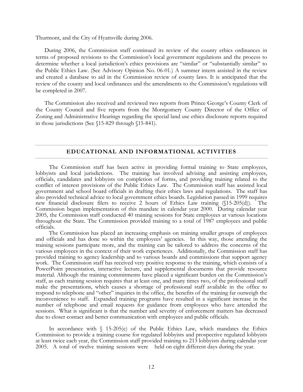Thurmont, and the City of Hyattsville during 2006.

During 2006, the Commission staff continued its review of the county ethics ordinances in terms of proposed revisions to the Commission's local government regulations and the process to determine whether a local jurisdiction's ethics provisions are "similar" or "substantially similar" to the Public Ethics Law. (See Advisory Opinion No. 06-01.) A summer intern assisted in the review and created a database to aid in the Commission review of county laws. It is anticipated that the review of the county and local ordinances and the amendments to the Commission's regulations will be completed in 2007.

The Commission also received and reviewed two reports from Prince George's County Clerk of the County Council and five reports from the Montgomery County Director of the Office of Zoning and Administrative Hearings regarding the special land use ethics disclosure reports required in those jurisdictions (See §15-829 through §15-841).

#### **EDUCATIONAL AND INFORMATIONAL ACTIVITIES**

 The Commission staff has been active in providing formal training to State employees, lobbyists and local jurisdictions. The training has involved advising and assisting employees, officials, candidates and lobbyists on completion of forms, and providing training related to the conflict of interest provisions of the Public Ethics Law. The Commission staff has assisted local government and school board officials in drafting their ethics laws and regulations. The staff has also provided technical advice to local government ethics boards. Legislation passed in 1999 requires new financial disclosure filers to receive 2 hours of Ethics Law training (§15-205(d)). The Commission began implementation of this mandate in calendar year 2000. During calendar year 2005, the Commission staff conducted 40 training sessions for State employees at various locations throughout the State. The Commission provided training to a total of 1987 employees and public officials.

 The Commission has placed an increasing emphasis on training smaller groups of employees and officials and has done so within the employees' agencies. In this way, those attending the training sessions participate more, and the training can be tailored to address the concerns of the various employees in the context of their work experiences. Additionally, the Commission staff has provided training to agency leadership and to various boards and commissions that support agency work. The Commission staff has received very positive response to the training, which consists of a PowerPoint presentation, interactive lecture, and supplemental documents that provide resource material. Although the training commitments have placed a significant burden on the Commission's staff, as each training session requires that at least one, and many times two, of the professional staff make the presentations, which causes a shortage of professional staff available in the office to respond to telephone and "other" inquiries in the office, the benefits of the training far outweigh the inconvenience to staff. Expanded training programs have resulted in a significant increase in the number of telephone and email requests for guidance from employees who have attended the sessions. What is significant is that the number and severity of enforcement matters has decreased due to closer contact and better communication with employees and public officials.

In accordance with  $\frac{15-205}{e}$  of the Public Ethics Law, which mandates the Ethics Commission to provide a training course for regulated lobbyists and prospective regulated lobbyists at least twice each year, the Commission staff provided training to 213 lobbyists during calendar year 2005. A total of twelve training sessions were held on eight different days during the year.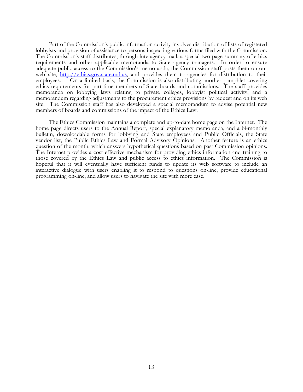Part of the Commission's public information activity involves distribution of lists of registered lobbyists and provision of assistance to persons inspecting various forms filed with the Commission. The Commission's staff distributes, through interagency mail, a special two-page summary of ethics requirements and other applicable memoranda to State agency managers. In order to ensure adequate public access to the Commission's memoranda, the Commission staff posts them on our web site, [http://ethics.gov.state.md.us](http://ethics.gov.state.md.us/), and provides them to agencies for distribution to their employees. On a limited basis, the Commission is also distributing another pamphlet covering ethics requirements for part-time members of State boards and commissions. The staff provides memoranda on lobbying laws relating to private colleges, lobbyist political activity, and a memorandum regarding adjustments to the procurement ethics provisions by request and on its web site. The Commission staff has also developed a special memorandum to advise potential new members of boards and commissions of the impact of the Ethics Law.

 The Ethics Commission maintains a complete and up-to-date home page on the Internet. The home page directs users to the Annual Report, special explanatory memoranda, and a bi-monthly bulletin, downloadable forms for lobbying and State employees and Public Officials, the State vendor list, the Public Ethics Law and Formal Advisory Opinions. Another feature is an ethics question of the month, which answers hypothetical questions based on past Commission opinions. The Internet provides a cost effective mechanism for providing ethics information and training to those covered by the Ethics Law and public access to ethics information. The Commission is hopeful that it will eventually have sufficient funds to update its web software to include an interactive dialogue with users enabling it to respond to questions on-line, provide educational programming on-line, and allow users to navigate the site with more ease.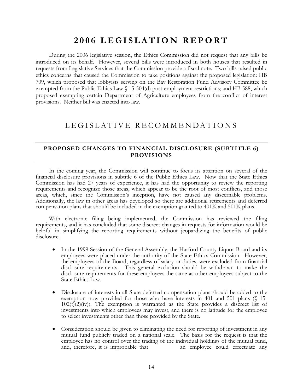### **2006 LEGISLATION REPORT**

During the 2006 legislative session, the Ethics Commission did not request that any bills be introduced on its behalf. However, several bills were introduced in both houses that resulted in requests from Legislative Services that the Commission provide a fiscal note. Two bills raised public ethics concerns that caused the Commission to take positions against the proposed legislation: HB 709, which proposed that lobbyists serving on the Bay Restoration Fund Advisory Committee be exempted from the Public Ethics Law § 15-504(d) post-employment restrictions; and HB 588, which proposed exempting certain Department of Agriculture employees from the conflict of interest provisions. Neither bill was enacted into law.

### LEGISLATIVE RECOMMENDATIONS

#### **PROPOSED CHANGES TO FINANCIAL DISCLOSURE (SUBTITLE 6) PROVISIONS**

 In the coming year, the Commission will continue to focus its attention on several of the financial disclosure provisions in subtitle 6 of the Public Ethics Law. Now that the State Ethics Commission has had 27 years of experience, it has had the opportunity to review the reporting requirements and recognize those areas, which appear to be the root of most conflicts, and those areas, which, since the Commission's inception, have not caused any discernable problems. Additionally, the law in other areas has developed so there are additional retirements and deferred compensation plans that should be included in the exemption granted to 401K and 501K plans.

 With electronic filing being implemented, the Commission has reviewed the filing requirements, and it has concluded that some discreet changes in requests for information would be helpful in simplifying the reporting requirements without jeopardizing the benefits of public disclosure.

- In the 1999 Session of the General Assembly, the Harford County Liquor Board and its employees were placed under the authority of the State Ethics Commission. However, the employees of the Board, regardless of salary or duties, were excluded from financial disclosure requirements. This general exclusion should be withdrawn to make the disclosure requirements for these employees the same as other employees subject to the State Ethics Law.
- Disclosure of interests in all State deferred compensation plans should be added to the exemption now provided for those who have interests in 401 and 501 plans (§ 15-  $102(t)(2)(iv)$ . The exemption is warranted as the State provides a discreet list of investments into which employees may invest, and there is no latitude for the employee to select investments other than those provided by the State.
- Consideration should be given to eliminating the need for reporting of investment in any mutual fund publicly traded on a national scale. The basis for the request is that the employee has no control over the trading of the individual holdings of the mutual fund, and, therefore, it is improbable that an employee could effectuate any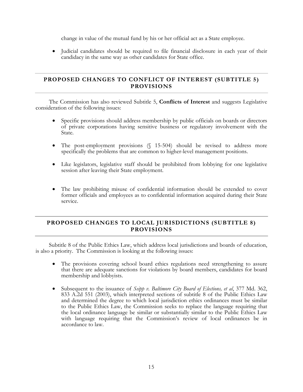change in value of the mutual fund by his or her official act as a State employee.

• Judicial candidates should be required to file financial disclosure in each year of their candidacy in the same way as other candidates for State office.

#### **PROPOSED CHANGES TO CONFLICT OF INTEREST (SUBTITLE 5) PROVISIONS**

 The Commission has also reviewed Subtitle 5, **Conflicts of Interest** and suggests Legislative consideration of the following issues:

- Specific provisions should address membership by public officials on boards or directors of private corporations having sensitive business or regulatory involvement with the State.
- The post-employment provisions (§ 15-504) should be revised to address more specifically the problems that are common to higher-level management positions.
- Like legislators, legislative staff should be prohibited from lobbying for one legislative session after leaving their State employment.
- The law prohibiting misuse of confidential information should be extended to cover former officials and employees as to confidential information acquired during their State service.

#### **PROPOSED CHANGES TO LOCAL JURISDICTIONS (SUBTITLE 8) PROVISIONS**

 Subtitle 8 of the Public Ethics Law, which address local jurisdictions and boards of education, is also a priority. The Commission is looking at the following issues:

- The provisions covering school board ethics regulations need strengthening to assure that there are adequate sanctions for violations by board members, candidates for board membership and lobbyists.
- Subsequent to the issuance of *Seipp v. Baltimore City Board of Elections, et al*, 377 Md. 362, 833 A.2d 551 (2003), which interpreted sections of subtitle 8 of the Public Ethics Law and determined the degree to which local jurisdiction ethics ordinances must be similar to the Public Ethics Law, the Commission seeks to replace the language requiring that the local ordinance language be similar or substantially similar to the Public Ethics Law with language requiring that the Commission's review of local ordinances be in accordance to law.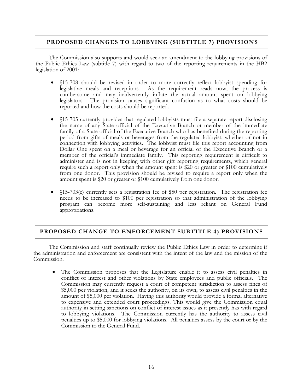#### **PROPOSED CHANGES TO LOBBYING (SUBTITLE 7) PROVISIONS**

 The Commission also supports and would seek an amendment to the lobbying provisions of the Public Ethics Law (subtitle 7) with regard to two of the reporting requirements in the HB2 legislation of 2001:

- §15-708 should be revised in order to more correctly reflect lobbyist spending for legislative meals and receptions. As the requirement reads now, the process is cumbersome and may inadvertently inflate the actual amount spent on lobbying legislators. The provision causes significant confusion as to what costs should be reported and how the costs should be reported.
- §15-705 currently provides that regulated lobbyists must file a separate report disclosing the name of any State official of the Executive Branch or member of the immediate family of a State official of the Executive Branch who has benefited during the reporting period from gifts of meals or beverages from the regulated lobbyist, whether or not in connection with lobbying activities. The lobbyist must file this report accounting from Dollar One spent on a meal or beverage for an official of the Executive Branch or a member of the official's immediate family. This reporting requirement is difficult to administer and is not in keeping with other gift reporting requirements, which general require such a report only when the amount spent is \$20 or greater or \$100 cumulatively from one donor. This provision should be revised to require a report only when the amount spent is \$20 or greater or \$100 cumulatively from one donor.
- §15-703(e) currently sets a registration fee of \$50 per registration. The registration fee needs to be increased to \$100 per registration so that administration of the lobbying program can become more self-sustaining and less reliant on General Fund appropriations.

#### **PROPOSED CHANGE TO ENFORCEMENT SUBTITLE 4) PROVISIONS**

 The Commission and staff continually review the Public Ethics Law in order to determine if the administration and enforcement are consistent with the intent of the law and the mission of the Commission.

• The Commission proposes that the Legislature enable it to assess civil penalties in conflict of interest and other violations by State employees and public officials. The Commission may currently request a court of competent jurisdiction to assess fines of \$5,000 per violation, and it seeks the authority, on its own, to assess civil penalties in the amount of \$5,000 per violation. Having this authority would provide a formal alternative to expensive and extended court proceedings. This would give the Commission equal authority in setting sanctions on conflict of interest issues as it presently has with regard to lobbying violations. The Commission currently has the authority to assess civil penalties up to \$5,000 for lobbying violations. All penalties assess by the court or by the Commission to the General Fund.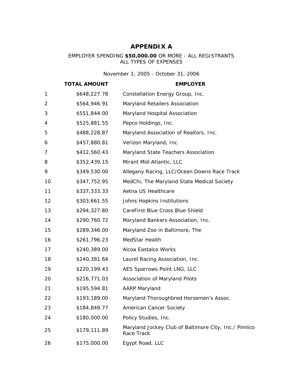### **APPENDIX A**

#### EMPLOYER SPENDING **\$50,000.00** OR MORE - ALL REGISTRANTS ALL TYPES OF EXPENSES

*November 1, 2005 - October 31, 2006*

|                | <b>TOTAL AMOUNT</b> | <b>EMPLOYER</b>                                                     |
|----------------|---------------------|---------------------------------------------------------------------|
| 1              | \$648,227.78        | Constellation Energy Group, Inc.                                    |
| $\overline{2}$ | \$564,946.91        | Maryland Retailers Association                                      |
| 3              | \$551,844.00        | Maryland Hospital Association                                       |
| 4              | \$525,881.55        | Pepco Holdings, Inc.                                                |
| 5              | \$488,228.87        | Maryland Association of Realtors, Inc.                              |
| 6              | \$457,880.81        | Verizon Maryland, Inc.                                              |
| 7              | \$412,560.43        | Maryland State Teachers Association                                 |
| 8              | \$352,439.15        | Mirant Mid-Atlantic, LLC                                            |
| 9              | \$349,530.00        | Allegany Racing, LLC/Ocean Downs Race Track                         |
| 10             | \$347,752.95        | MedChi, The Maryland State Medical Society                          |
| 11             | \$337,333.33        | Aetna US Healthcare                                                 |
| 12             | \$303,661.55        | Johns Hopkins Institutions                                          |
| 13             | \$294,327.80        | CareFirst Blue Cross Blue Shield                                    |
| 14             | \$290,760.72        | Maryland Bankers Association, Inc.                                  |
| 15             | \$289,346.00        | Maryland Zoo in Baltimore, The                                      |
| 16             | \$261,796.23        | MedStar Health                                                      |
| 17             | \$240,389.00        | Alcoa Eastalco Works                                                |
| 18             | \$240,381.64        | Laurel Racing Association, Inc.                                     |
| 19             | \$220,199.43        | AES Sparrows Point LNG, LLC                                         |
| 20             | \$216,771.03        | Association of Maryland Pilots                                      |
| 21             | \$195,594.81        | <b>AARP Maryland</b>                                                |
| 22             | \$193,189.00        | Maryland Thoroughbred Horsemen's Assoc.                             |
| 23             | \$184,849.77        | American Cancer Society                                             |
| 24             | \$180,000.00        | Policy Studies, Inc.                                                |
| 25             | \$179,111.89        | Maryland Jockey Club of Baltimore City, Inc./ Pimlico<br>Race Track |
| 26             | \$175,000.00        | Egypt Road, LLC                                                     |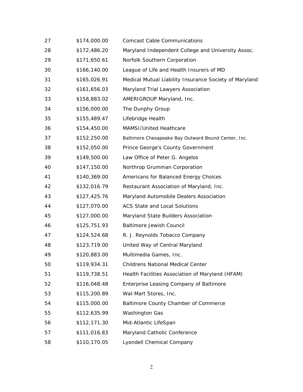| 27 | \$174,000.00 | <b>Comcast Cable Communications</b>                    |
|----|--------------|--------------------------------------------------------|
| 28 | \$172,486.20 | Maryland Independent College and University Assoc.     |
| 29 | \$171,650.61 | Norfolk Southern Corporation                           |
| 30 | \$166,140.00 | League of Life and Health Insurers of MD               |
| 31 | \$165,026.91 | Medical Mutual Liability Insurance Society of Maryland |
| 32 | \$161,656.03 | Maryland Trial Lawyers Association                     |
| 33 | \$158,883.02 | AMERIGROUP Maryland, Inc.                              |
| 34 | \$156,000.00 | The Dunphy Group                                       |
| 35 | \$155,489.47 | Lifebridge Health                                      |
| 36 | \$154,450.00 | MAMSI/United Heathcare                                 |
| 37 | \$152,250.00 | Baltimore Chesapeake Bay Outward Bound Center, Inc.    |
| 38 | \$152,050.00 | Prince George's County Government                      |
| 39 | \$149,500.00 | Law Office of Peter G. Angelos                         |
| 40 | \$147,150.00 | Northrop Grumman Corporation                           |
| 41 | \$140,369.00 | Americans for Balanced Energy Choices                  |
| 42 | \$132,016.79 | Restaurant Association of Maryland, Inc.               |
| 43 | \$127,425.76 | Maryland Automobile Dealers Association                |
| 44 | \$127,070.00 | <b>ACS State and Local Solutions</b>                   |
| 45 | \$127,000.00 | Maryland State Builders Association                    |
| 46 | \$125,751.93 | <b>Baltimore Jewish Council</b>                        |
| 47 | \$124,524.68 | R. J. Reynolds Tobacco Company                         |
| 48 | \$123,719.00 | United Way of Central Maryland                         |
| 49 | \$120,883.00 | Multimedia Games, Inc.                                 |
| 50 | \$119,934.31 | <b>Childrens National Medical Center</b>               |
| 51 | \$119,738.51 | Health Facilities Association of Maryland (HFAM)       |
| 52 | \$116,048.48 | Enterprise Leasing Company of Baltimore                |
| 53 | \$115,200.89 | Wal-Mart Stores, Inc.                                  |
| 54 | \$115,000.00 | Baltimore County Chamber of Commerce                   |
| 55 | \$112,635.99 | <b>Washington Gas</b>                                  |
| 56 | \$112,171.30 | Mid-Atlantic LifeSpan                                  |
| 57 | \$111,016.83 | Maryland Catholic Conference                           |
| 58 | \$110,170.05 | Lyondell Chemical Company                              |
|    |              |                                                        |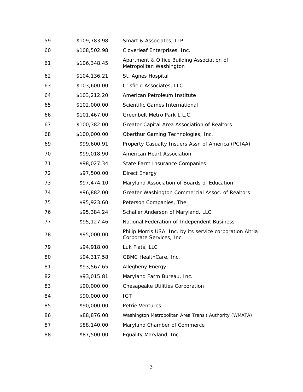| 59 | \$109,783.98 | Smart & Associates, LLP                                                               |
|----|--------------|---------------------------------------------------------------------------------------|
| 60 | \$108,502.98 | Cloverleaf Enterprises, Inc.                                                          |
| 61 | \$106,348.45 | Apartment & Office Building Association of<br>Metropolitan Washington                 |
| 62 | \$104,136.21 | St. Agnes Hospital                                                                    |
| 63 | \$103,600.00 | Crisfield Associates, LLC                                                             |
| 64 | \$103,212.20 | American Petroleum Institute                                                          |
| 65 | \$102,000.00 | Scientific Games International                                                        |
| 66 | \$101,467.00 | Greenbelt Metro Park L.L.C.                                                           |
| 67 | \$100,382.00 | Greater Capital Area Association of Realtors                                          |
| 68 | \$100,000.00 | Oberthur Gaming Technologies, Inc.                                                    |
| 69 | \$99,600.91  | Property Casualty Insuers Assn of America (PCIAA)                                     |
| 70 | \$99,018.90  | American Heart Association                                                            |
| 71 | \$98,027.34  | State Farm Insurance Companies                                                        |
| 72 | \$97,500.00  | Direct Energy                                                                         |
| 73 | \$97,474.10  | Maryland Association of Boards of Education                                           |
| 74 | \$96,882.00  | Greater Washington Commercial Assoc. of Realtors                                      |
| 75 | \$95,923.60  | Peterson Companies, The                                                               |
| 76 | \$95,384.24  | Schaller Anderson of Maryland, LLC                                                    |
| 77 | \$95,127.46  | National Federation of Independent Business                                           |
| 78 | \$95,000.00  | Philip Morris USA, Inc. by its service corporation Altria<br>Corporate Services, Inc. |
| 79 | \$94,918.00  | Luk Flats, LLC                                                                        |
| 80 | \$94,317.58  | GBMC HealthCare, Inc.                                                                 |
| 81 | \$93,567.65  | Allegheny Energy                                                                      |
| 82 | \$93,015.81  | Maryland Farm Bureau, Inc.                                                            |
| 83 | \$90,000.00  | Chesapeake Utilities Corporation                                                      |
| 84 | \$90,000.00  | <b>IGT</b>                                                                            |
| 85 | \$90,000.00  | Petrie Ventures                                                                       |
| 86 | \$88,876.00  | Washington Metropolitan Area Transit Authority (WMATA)                                |
| 87 | \$88,140.00  | Maryland Chamber of Commerce                                                          |
| 88 | \$87,500.00  | Equality Maryland, Inc.                                                               |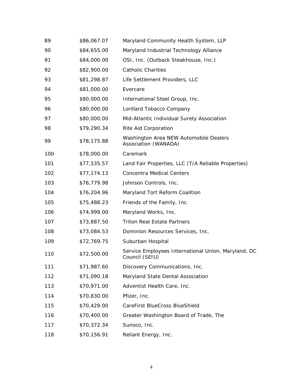| 89  | \$86,067.07 | Maryland Community Health System, LLP                                 |
|-----|-------------|-----------------------------------------------------------------------|
| 90  | \$84,655.00 | Maryland Industrial Technology Alliance                               |
| 91  | \$84,000.00 | OSI, Inc. (Outback Steakhouse, Inc.)                                  |
| 92  | \$82,900.00 | <b>Catholic Charities</b>                                             |
| 93  | \$81,298.87 | Life Settlement Providers, LLC                                        |
| 94  | \$81,000.00 | Evercare                                                              |
| 95  | \$80,000.00 | International Steel Group, Inc.                                       |
| 96  | \$80,000.00 | Lorillard Tobacco Company                                             |
| 97  | \$80,000.00 | Mid-Atlantic Individual Surety Association                            |
| 98  | \$79,290.34 | Rite Aid Corporation                                                  |
| 99  | \$78,175.88 | Washington Area NEW Automobile Dealers<br>Association (WANADA)        |
| 100 | \$78,000.00 | Caremark                                                              |
| 101 | \$77,535.57 | Land Fair Properties, LLC (T/A Reliable Properties)                   |
| 102 | \$77,174.13 | <b>Concentra Medical Centers</b>                                      |
| 103 | \$76,779.98 | Johnson Controls, Inc.                                                |
| 104 | \$76,204.96 | Maryland Tort Reform Coalition                                        |
| 105 | \$75,488.23 | Friends of the Family, Inc.                                           |
| 106 | \$74,999.00 | Maryland Works, Inc.                                                  |
| 107 | \$73,887.50 | <b>Triton Real Estate Partners</b>                                    |
| 108 | \$73,084.53 | Dominion Resources Services, Inc.                                     |
| 109 | \$72,769.75 | Suburban Hospital                                                     |
| 110 | \$72,500.00 | Service Employees International Union, Maryland, DC<br>Council (SEIU) |
| 111 | \$71,987.60 | Discovery Communications, Inc.                                        |
| 112 | \$71,090.18 | Maryland State Dental Association                                     |
| 113 | \$70,971.00 | Adventist Health Care, Inc.                                           |
| 114 | \$70,830.00 | Pfizer, Inc.                                                          |
| 115 | \$70,429.00 | CareFirst BlueCross BlueShield                                        |
| 116 | \$70,400.00 | Greater Washington Board of Trade, The                                |
| 117 | \$70,372.34 | Sunoco, Inc.                                                          |
| 118 | \$70,156.91 | Reliant Energy, Inc.                                                  |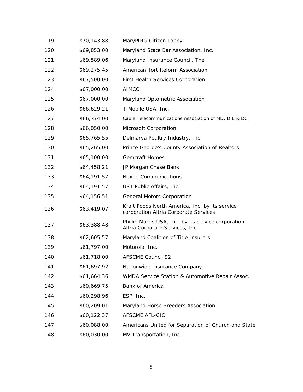| 119 | \$70,143.88 | MaryPIRG Citizen Lobby                                                                  |
|-----|-------------|-----------------------------------------------------------------------------------------|
| 120 | \$69,853.00 | Maryland State Bar Association, Inc.                                                    |
| 121 | \$69,589.06 | Maryland Insurance Council, The                                                         |
| 122 | \$69,275.45 | American Tort Reform Association                                                        |
| 123 | \$67,500.00 | First Health Services Corporation                                                       |
| 124 | \$67,000.00 | <b>AIMCO</b>                                                                            |
| 125 | \$67,000.00 | Maryland Optometric Association                                                         |
| 126 | \$66,629.21 | T-Mobile USA, Inc.                                                                      |
| 127 | \$66,374.00 | Cable Telecommunications Association of MD, D E & DC                                    |
| 128 | \$66,050.00 | Microsoft Corporation                                                                   |
| 129 | \$65,765.55 | Delmarva Poultry Industry, Inc.                                                         |
| 130 | \$65,265.00 | Prince George's County Association of Realtors                                          |
| 131 | \$65,100.00 | <b>Gemcraft Homes</b>                                                                   |
| 132 | \$64,458.21 | JP Morgan Chase Bank                                                                    |
| 133 | \$64,191.57 | <b>Nextel Communications</b>                                                            |
| 134 | \$64,191.57 | UST Public Affairs, Inc.                                                                |
| 135 | \$64,156.51 | <b>General Motors Corporation</b>                                                       |
| 136 | \$63,419.07 | Kraft Foods North America, Inc. by its service<br>corporation Altria Corporate Services |
| 137 | \$63,388.48 | Phillip Morris USA, Inc. by its service corporation<br>Altria Corporate Services, Inc.  |
| 138 | \$62,605.57 | Maryland Coalition of Title Insurers                                                    |
| 139 | \$61,797.00 | Motorola, Inc.                                                                          |
| 140 | \$61,718.00 | <b>AFSCME Council 92</b>                                                                |
| 141 | \$61,697.92 | Nationwide Insurance Company                                                            |
| 142 | \$61,664.36 | WMDA Service Station & Automotive Repair Assoc.                                         |
| 143 | \$60,669.75 | Bank of America                                                                         |
| 144 | \$60,298.96 | ESP, Inc.                                                                               |
| 145 | \$60,209.01 | Maryland Horse Breeders Association                                                     |
| 146 | \$60,122.37 | <b>AFSCME AFL-CIO</b>                                                                   |
| 147 | \$60,088.00 | Americans United for Separation of Church and State                                     |
| 148 | \$60,030.00 | MV Transportation, Inc.                                                                 |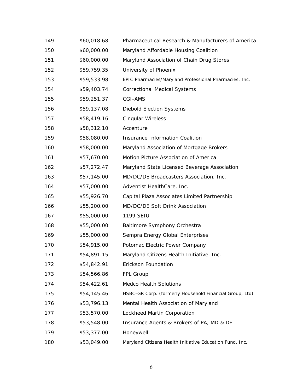| 149 | \$60,018.68 | Pharmaceutical Research & Manufacturers of America       |
|-----|-------------|----------------------------------------------------------|
| 150 | \$60,000.00 | Maryland Affordable Housing Coalition                    |
| 151 | \$60,000.00 | Maryland Association of Chain Drug Stores                |
| 152 | \$59,759.35 | University of Phoenix                                    |
| 153 | \$59,533.98 | EPIC Pharmacies/Maryland Professional Pharmacies, Inc.   |
| 154 | \$59,403.74 | <b>Correctional Medical Systems</b>                      |
| 155 | \$59,251.37 | CGI-AMS                                                  |
| 156 | \$59,137.08 | <b>Diebold Election Systems</b>                          |
| 157 | \$58,419.16 | <b>Cingular Wireless</b>                                 |
| 158 | \$58,312.10 | Accenture                                                |
| 159 | \$58,080.00 | <b>Insurance Information Coalition</b>                   |
| 160 | \$58,000.00 | Maryland Association of Mortgage Brokers                 |
| 161 | \$57,670.00 | Motion Picture Association of America                    |
| 162 | \$57,272.47 | Maryland State Licensed Beverage Association             |
| 163 | \$57,145.00 | MD/DC/DE Broadcasters Association, Inc.                  |
| 164 | \$57,000.00 | Adventist HealthCare, Inc.                               |
| 165 | \$55,926.70 | Capital Plaza Associates Limited Partnership             |
| 166 | \$55,200.00 | MD/DC/DE Soft Drink Association                          |
| 167 | \$55,000.00 | 1199 SEIU                                                |
| 168 | \$55,000.00 | Baltimore Symphony Orchestra                             |
| 169 | \$55,000.00 | Sempra Energy Global Enterprises                         |
| 170 | \$54,915.00 | Potomac Electric Power Company                           |
| 171 | \$54,891.15 | Maryland Citizens Health Initiative, Inc.                |
| 172 | \$54,842.91 | Erickson Foundation                                      |
| 173 | \$54,566.86 | FPL Group                                                |
| 174 | \$54,422.61 | <b>Medco Health Solutions</b>                            |
| 175 | \$54,145.46 | HSBC-GR Corp. (formerly Household Financial Group, Ltd)  |
| 176 | \$53,796.13 | Mental Health Association of Maryland                    |
| 177 | \$53,570.00 | Lockheed Martin Corporation                              |
| 178 | \$53,548.00 | Insurance Agents & Brokers of PA, MD & DE                |
| 179 | \$53,377.00 | Honeywell                                                |
| 180 | \$53,049.00 | Maryland Citizens Health Initiative Education Fund, Inc. |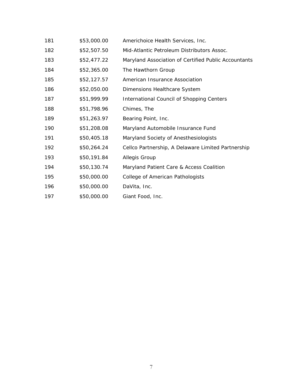| 181 | \$53,000.00 | Americhoice Health Services, Inc.                    |
|-----|-------------|------------------------------------------------------|
| 182 | \$52,507.50 | Mid-Atlantic Petroleum Distributors Assoc.           |
| 183 | \$52,477.22 | Maryland Association of Certified Public Accountants |
| 184 | \$52,365.00 | The Hawthorn Group                                   |
| 185 | \$52,127.57 | American Insurance Association                       |
| 186 | \$52,050.00 | Dimensions Healthcare System                         |
| 187 | \$51,999.99 | International Council of Shopping Centers            |
| 188 | \$51,798.96 | Chimes, The                                          |
| 189 | \$51,263.97 | Bearing Point, Inc.                                  |
| 190 | \$51,208.08 | Maryland Automobile Insurance Fund                   |
| 191 | \$50,405.18 | Maryland Society of Anesthesiologists                |
| 192 | \$50,264.24 | Cellco Partnership, A Delaware Limited Partnership   |
| 193 | \$50,191.84 | <b>Allegis Group</b>                                 |
| 194 | \$50,130.74 | Maryland Patient Care & Access Coalition             |
| 195 | \$50,000.00 | College of American Pathologists                     |
| 196 | \$50,000.00 | DaVita, Inc.                                         |
| 197 | \$50,000.00 | Giant Food, Inc.                                     |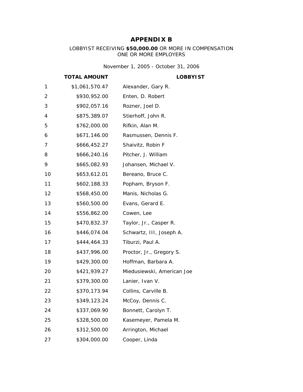### **APPENDIX B**

#### LOBBYIST RECEIVING **\$50,000.00** OR MORE IN COMPENSATION ONE OR MORE EMPLOYERS

*November 1, 2005 - October 31, 2006*

#### **TOTAL AMOUNT LOBBYIST**

| 1  | \$1,061,570.47 | Alexander, Gary R.         |
|----|----------------|----------------------------|
| 2  | \$930,952.00   | Enten, D. Robert           |
| 3  | \$902,057.16   | Rozner, Joel D.            |
| 4  | \$875,389.07   | Stierhoff, John R.         |
| 5  | \$762,000.00   | Rifkin, Alan M.            |
| 6  | \$671,146.00   | Rasmussen, Dennis F.       |
| 7  | \$666,452.27   | Shaivitz, Robin F          |
| 8  | \$666,240.16   | Pitcher, J. William        |
| 9  | \$665,082.93   | Johansen, Michael V.       |
| 10 | \$653,612.01   | Bereano, Bruce C.          |
| 11 | \$602,188.33   | Popham, Bryson F.          |
| 12 | \$568,450.00   | Manis, Nicholas G.         |
| 13 | \$560,500.00   | Evans, Gerard E.           |
| 14 | \$556,862.00   | Cowen, Lee                 |
| 15 | \$470,832.37   | Taylor, Jr., Casper R.     |
| 16 | \$446,074.04   | Schwartz, III, Joseph A.   |
| 17 | \$444,464.33   | Tiburzi, Paul A.           |
| 18 | \$437,996.00   | Proctor, Jr., Gregory S.   |
| 19 | \$429,300.00   | Hoffman, Barbara A.        |
| 20 | \$421,939.27   | Miedusiewski, American Joe |
| 21 | \$379,300.00   | Lanier, Ivan V.            |
| 22 | \$370,173.94   | Collins, Carville B.       |
| 23 | \$349,123.24   | McCoy, Dennis C.           |
| 24 | \$337,069.90   | Bonnett, Carolyn T.        |
| 25 | \$328,500.00   | Kasemeyer, Pamela M.       |
| 26 | \$312,500.00   | Arrington, Michael         |
| 27 | \$304,000.00   | Cooper, Linda              |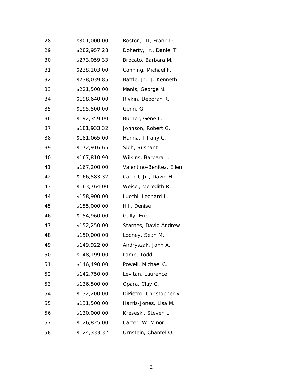| 28 | \$301,000.00 | Boston, III, Frank D.    |
|----|--------------|--------------------------|
| 29 | \$282,957.28 | Doherty, Jr., Daniel T.  |
| 30 | \$273,059.33 | Brocato, Barbara M.      |
| 31 | \$238,103.00 | Canning, Michael F.      |
| 32 | \$238,039.85 | Battle, Jr., J. Kenneth  |
| 33 | \$221,500.00 | Manis, George N.         |
| 34 | \$198,640.00 | Rivkin, Deborah R.       |
| 35 | \$195,500.00 | Genn, Gil                |
| 36 | \$192,359.00 | Burner, Gene L.          |
| 37 | \$181,933.32 | Johnson, Robert G.       |
| 38 | \$181,065.00 | Hanna, Tiffany C.        |
| 39 | \$172,916.65 | Sidh, Sushant            |
| 40 | \$167,810.90 | Wilkins, Barbara J.      |
| 41 | \$167,200.00 | Valentino-Benitez, Ellen |
| 42 | \$166,583.32 | Carroll, Jr., David H.   |
| 43 | \$163,764.00 | Weisel, Meredith R.      |
| 44 | \$158,900.00 | Lucchi, Leonard L.       |
| 45 | \$155,000.00 | Hill, Denise             |
| 46 | \$154,960.00 | Gally, Eric              |
| 47 | \$152,250.00 | Starnes, David Andrew    |
| 48 | \$150,000.00 | Looney, Sean M.          |
| 49 | \$149,922.00 | Andryszak, John A.       |
| 50 | \$148,199.00 | Lamb, Todd               |
| 51 | \$146,490.00 | Powell, Michael C.       |
| 52 | \$142,750.00 | Levitan, Laurence        |
| 53 | \$136,500.00 | Opara, Clay C.           |
| 54 | \$132,200.00 | DiPietro, Christopher V. |
| 55 | \$131,500.00 | Harris-Jones, Lisa M.    |
| 56 | \$130,000.00 | Kreseski, Steven L.      |
| 57 | \$126,825.00 | Carter, W. Minor         |
| 58 | \$124,333.32 | Ornstein, Chantel O.     |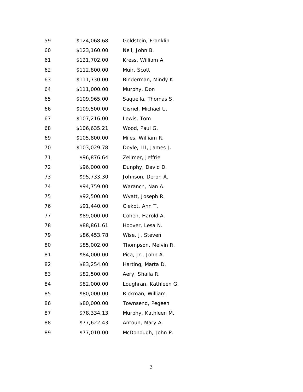| 59 | \$124,068.68 | Goldstein, Franklin   |
|----|--------------|-----------------------|
| 60 | \$123,160.00 | Neil, John B.         |
| 61 | \$121,702.00 | Kress, William A.     |
| 62 | \$112,800.00 | Muir, Scott           |
| 63 | \$111,730.00 | Binderman, Mindy K.   |
| 64 | \$111,000.00 | Murphy, Don           |
| 65 | \$109,965.00 | Saquella, Thomas S.   |
| 66 | \$109,500.00 | Gisriel, Michael U.   |
| 67 | \$107,216.00 | Lewis, Tom            |
| 68 | \$106,635.21 | Wood, Paul G.         |
| 69 | \$105,800.00 | Miles, William R.     |
| 70 | \$103,029.78 | Doyle, III, James J.  |
| 71 | \$96,876.64  | Zellmer, Jeffrie      |
| 72 | \$96,000.00  | Dunphy, David D.      |
| 73 | \$95,733.30  | Johnson, Deron A.     |
| 74 | \$94,759.00  | Waranch, Nan A.       |
| 75 | \$92,500.00  | Wyatt, Joseph R.      |
| 76 | \$91,440.00  | Ciekot, Ann T.        |
| 77 | \$89,000.00  | Cohen, Harold A.      |
| 78 | \$88,861.61  | Hoover, Lesa N.       |
| 79 | \$86,453.78  | Wise, J. Steven       |
| 80 | \$85,002.00  | Thompson, Melvin R.   |
| 81 | \$84,000.00  | Pica, Jr., John A.    |
| 82 | \$83,254.00  | Harting, Marta D.     |
| 83 | \$82,500.00  | Aery, Shaila R.       |
| 84 | \$82,000.00  | Loughran, Kathleen G. |
| 85 | \$80,000.00  | Rickman, William      |
| 86 | \$80,000.00  | Townsend, Pegeen      |
| 87 | \$78,334.13  | Murphy, Kathleen M.   |
| 88 | \$77,622.43  | Antoun, Mary A.       |
| 89 | \$77,010.00  | McDonough, John P.    |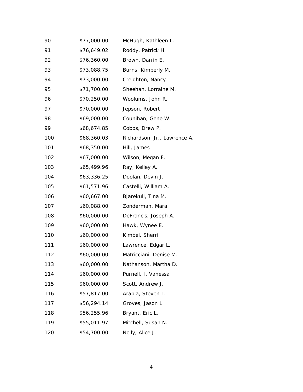| 90  | \$77,000.00 | McHugh, Kathleen L.          |
|-----|-------------|------------------------------|
| 91  | \$76,649.02 | Roddy, Patrick H.            |
| 92  | \$76,360.00 | Brown, Darrin E.             |
| 93  | \$73,088.75 | Burns, Kimberly M.           |
| 94  | \$73,000.00 | Creighton, Nancy             |
| 95  | \$71,700.00 | Sheehan, Lorraine M.         |
| 96  | \$70,250.00 | Woolums, John R.             |
| 97  | \$70,000.00 | Jepson, Robert               |
| 98  | \$69,000.00 | Counihan, Gene W.            |
| 99  | \$68,674.85 | Cobbs, Drew P.               |
| 100 | \$68,360.03 | Richardson, Jr., Lawrence A. |
| 101 | \$68,350.00 | Hill, James                  |
| 102 | \$67,000.00 | Wilson, Megan F.             |
| 103 | \$65,499.96 | Ray, Kelley A.               |
| 104 | \$63,336.25 | Doolan, Devin J.             |
| 105 | \$61,571.96 | Castelli, William A.         |
| 106 | \$60,667.00 | Bjarekull, Tina M.           |
| 107 | \$60,088.00 | Zonderman, Mara              |
| 108 | \$60,000.00 | DeFrancis, Joseph A.         |
| 109 | \$60,000.00 | Hawk, Wynee E.               |
| 110 | \$60,000.00 | Kimbel, Sherri               |
| 111 | \$60,000.00 | Lawrence, Edgar L.           |
| 112 | \$60,000.00 | Matricciani, Denise M.       |
| 113 | \$60,000.00 | Nathanson, Martha D.         |
| 114 | \$60,000.00 | Purnell, I. Vanessa          |
| 115 | \$60,000.00 | Scott, Andrew J.             |
| 116 | \$57,817.00 | Arabia, Steven L.            |
| 117 | \$56,294.14 | Groves, Jason L.             |
| 118 | \$56,255.96 | Bryant, Eric L.              |
| 119 | \$55,011.97 | Mitchell, Susan N.           |
| 120 | \$54,700.00 | Neily, Alice J.              |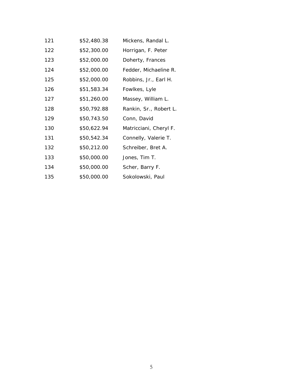| 121 | \$52,480.38 | Mickens, Randal L.     |
|-----|-------------|------------------------|
| 122 | \$52,300.00 | Horrigan, F. Peter     |
| 123 | \$52,000.00 | Doherty, Frances       |
| 124 | \$52,000.00 | Fedder, Michaeline R.  |
| 125 | \$52,000.00 | Robbins, Jr., Earl H.  |
| 126 | \$51,583.34 | Fowlkes, Lyle          |
| 127 | \$51,260.00 | Massey, William L.     |
| 128 | \$50,792.88 | Rankin, Sr., Robert L. |
| 129 | \$50,743.50 | Conn, David            |
| 130 | \$50,622.94 | Matricciani, Cheryl F. |
| 131 | \$50,542.34 | Connelly, Valerie T.   |
| 132 | \$50,212.00 | Schreiber, Bret A.     |
| 133 | \$50,000.00 | Jones, Tim T.          |
| 134 | \$50,000.00 | Scher, Barry F.        |
| 135 | \$50,000.00 | Sokolowski, Paul       |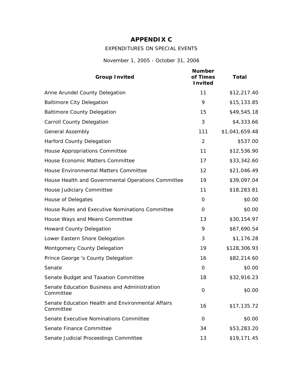### **APPENDIX C**

### EXPENDITURES ON SPECIAL EVENTS

*November 1, 2005 - October 31, 2006*

| <b>Group Invited</b>                                           | <b>Number</b><br>of Times<br><b>Invited</b> | <b>Total</b>   |
|----------------------------------------------------------------|---------------------------------------------|----------------|
| Anne Arundel County Delegation                                 | 11                                          | \$12,217.40    |
| <b>Baltimore City Delegation</b>                               | 9                                           | \$15,133.85    |
| <b>Baltimore County Delegation</b>                             | 15                                          | \$49,545.18    |
| <b>Carroll County Delegation</b>                               | 3                                           | \$4,333.66     |
| <b>General Assembly</b>                                        | 111                                         | \$1,041,659.48 |
| <b>Harford County Delegation</b>                               | 2                                           | \$537.00       |
| House Appropriations Committee                                 | 11                                          | \$12,536.90    |
| House Economic Matters Committee                               | 17                                          | \$33,342.60    |
| House Environmental Matters Committee                          | 12                                          | \$21,046.49    |
| House Health and Governmental Operations Committee             | 19                                          | \$39,097.04    |
| House Judiciary Committee                                      | 11                                          | \$18,283.81    |
| House of Delegates                                             | 0                                           | \$0.00         |
| House Rules and Executive Nominations Committee                | 0                                           | \$0.00         |
| House Ways and Means Committee                                 | 13                                          | \$30,154.97    |
| <b>Howard County Delegation</b>                                | 9                                           | \$67,690.54    |
| Lower Eastern Shore Delegation                                 | 3                                           | \$1,176.28     |
| Montgomery County Delegation                                   | 19                                          | \$128,306.93   |
| Prince George 's County Delegation                             | 16                                          | \$82,214.60    |
| Senate                                                         | 0                                           | \$0.00         |
| Senate Budget and Taxation Committee                           | 18                                          | \$32,916.23    |
| Senate Education Business and Administration<br>Committee      | 0                                           | \$0.00         |
| Senate Education Health and Environmental Affairs<br>Committee | 16                                          | \$17,135.72    |
| Senate Executive Nominations Committee                         | 0                                           | \$0.00         |
| Senate Finance Committee                                       | 34                                          | \$53,283.20    |
| Senate Judicial Proceedings Committee                          | 13                                          | \$19,171.45    |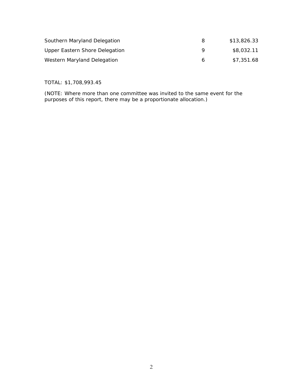| Southern Maryland Delegation   | 8 | \$13,826.33 |
|--------------------------------|---|-------------|
| Upper Eastern Shore Delegation |   | \$8,032.11  |
| Western Maryland Delegation    | h | \$7,351.68  |

TOTAL: \$1,708,993.45

(NOTE: Where more than one committee was invited to the same event for the purposes of this report, there may be a proportionate allocation.)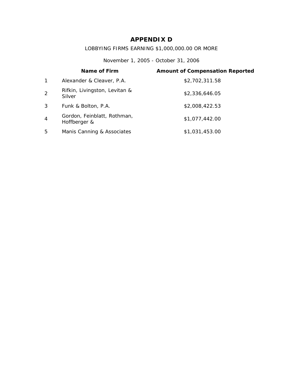### **APPENDIX D**

### LOBBYING FIRMS EARNING \$1,000,000.00 OR MORE

*November 1, 2005 - October 31, 2006*

|                | Name of Firm                                | <b>Amount of Compensation Reported</b> |
|----------------|---------------------------------------------|----------------------------------------|
| $\mathbf 1$    | Alexander & Cleaver, P.A.                   | \$2,702,311.58                         |
| 2              | Rifkin, Livingston, Levitan &<br>Silver     | \$2,336,646.05                         |
| 3              | Funk & Bolton, P.A.                         | \$2,008,422.53                         |
| $\overline{4}$ | Gordon, Feinblatt, Rothman,<br>Hoffberger & | \$1,077,442.00                         |
| 5              | Manis Canning & Associates                  | \$1,031,453.00                         |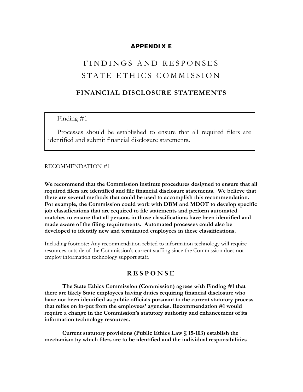#### **APPENDIX E**

## FINDINGS AND RESPONSES STATE ETHICS COMMISSION

#### **FINANCIAL DISCLOSURE STATEMENTS**

#### Finding #1

Processes should be established to ensure that all required filers are identified and submit financial disclosure statements**.**

#### RECOMMENDATION #1

**We recommend that the Commission institute procedures designed to ensure that all required filers are identified and file financial disclosure statements. We believe that there are several methods that could be used to accomplish this recommendation. For example, the Commission could work with DBM and MDOT to develop specific job classifications that are required to file statements and perform automated matches to ensure that all persons in those classifications have been identified and made aware of the filing requirements. Automated processes could also be developed to identify new and terminated employees in these classifications.** 

Including footnote: Any recommendation related to information technology will require resources outside of the Commission's current staffing since the Commission does not employ information technology support staff.

#### **RESPONSE**

**The State Ethics Commission (Commission) agrees with Finding #1 that there are likely State employees having duties requiring financial disclosure who have not been identified as public officials pursuant to the current statutory process that relies on in-put from the employees' agencies. Recommendation #1 would require a change in the Commission's statutory authority and enhancement of its information technology resources.** 

 **Current statutory provisions (Public Ethics Law § 15-103) establish the mechanism by which filers are to be identified and the individual responsibilities**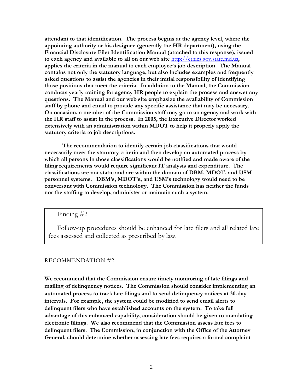**attendant to that identification. The process begins at the agency level, where the appointing authority or his designee (generally the HR department), using the Financial Disclosure Filer Identification Manual (attached to this response), issued to each agency and available to all on our web site** [http://ethics.gov.state.md.us](http://ethics.gov.state.md.us/)**, applies the criteria in the manual to each employee's job description. The Manual contains not only the statutory language, but also includes examples and frequently asked questions to assist the agencies in their initial responsibility of identifying those positions that meet the criteria. In addition to the Manual, the Commission conducts yearly training for agency HR people to explain the process and answer any questions. The Manual and our web site emphasize the availability of Commission staff by phone and email to provide any specific assistance that may be necessary. On occasion, a member of the Commission staff may go to an agency and work with the HR staff to assist in the process. In 2005, the Executive Director worked extensively with an administration within MDOT to help it properly apply the statutory criteria to job descriptions.** 

 **The recommendation to identify certain job classifications that would necessarily meet the statutory criteria and then develop an automated process by which all persons in those classifications would be notified and made aware of the filing requirements would require significant IT analysis and expenditure. The classifications are not static and are within the domain of DBM, MDOT, and USM personnel systems. DBM's, MDOT's, and USM's technology would need to be conversant with Commission technology. The Commission has neither the funds nor the staffing to develop, administer or maintain such a system.** 

Finding #2

Follow-up procedures should be enhanced for late filers and all related late fees assessed and collected as prescribed by law.

#### RECOMMENDATION #2

**We recommend that the Commission ensure timely monitoring of late filings and mailing of delinquency notices. The Commission should consider implementing an automated process to track late filings and to send delinquency notices at 30-day intervals. For example, the system could be modified to send email alerts to delinquent filers who have established accounts on the system. To take full advantage of this enhanced capability, consideration should be given to mandating electronic filings. We also recommend that the Commission assess late fees to delinquent filers. The Commission, in conjunction with the Office of the Attorney General, should determine whether assessing late fees requires a formal complaint**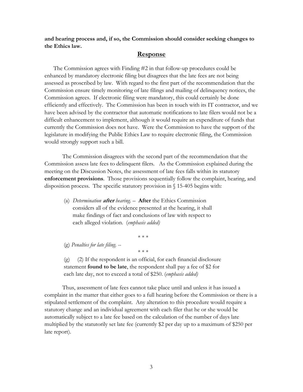**and hearing process and, if so, the Commission should consider seeking changes to the Ethics law.** 

#### **Response**

The Commission agrees with Finding #2 in that follow-up procedures could be enhanced by mandatory electronic filing but disagrees that the late fees are not being assessed as proscribed by law.With regard to the first part of the recommendation that the Commission ensure timely monitoring of late filings and mailing of delinquency notices, the Commission agrees. If electronic filing were mandatory, this could certainly be done efficiently and effectively. The Commission has been in touch with its IT contractor, and we have been advised by the contractor that automatic notifications to late filers would not be a difficult enhancement to implement, although it would require an expenditure of funds that currently the Commission does not have. Were the Commission to have the support of the legislature in modifying the Public Ethics Law to require electronic filing, the Commission would strongly support such a bill.

The Commission disagrees with the second part of the recommendation that the Commission assess late fees to delinquent filers. As the Commission explained during the meeting on the Discussion Notes, the assessment of late fees falls within its statutory **enforcement provisions**. Those provisions sequentially follow the complaint, hearing, and disposition process. The specific statutory provision in § 15-405 begins with:

(a) *Determination* **after** *hearing.* – **After** the Ethics Commission considers all of the evidence presented at the hearing, it shall make findings of fact and conclusions of law with respect to each alleged violation. (*emphasis added)*

\* \* \*

(g) *Penalties for late filing. --*

(g) (2) If the respondent is an official, for each financial disclosure statement **found to be late**, the respondent shall pay a fee of \$2 for each late day, not to exceed a total of \$250. (*emphasis added)*

\* \* \*

Thus, assessment of late fees cannot take place until and unless it has issued a complaint in the matter that either goes to a full hearing before the Commission or there is a stipulated settlement of the complaint. Any alteration to this procedure would require a statutory change and an individual agreement with each filer that he or she would be automatically subject to a late fee based on the calculation of the number of days late multiplied by the statutorily set late fee (currently \$2 per day up to a maximum of \$250 per late report).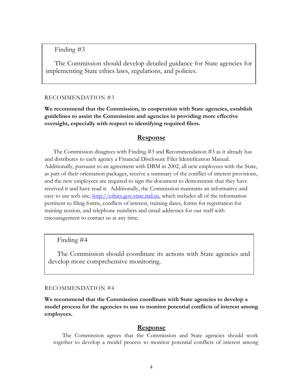Finding #3

**Recommendation #3**  The Commission should develop detailed guidance for State agencies for implementing State ethics laws, regulations, and policies.

#### RECOMMENDATION #3

**We recommend that the Commission, in cooperation with State agencies, establish guidelines to assist the Commission and agencies in providing more effective oversight, especially with respect to identifying required filers.**

#### **Response**

 The Commission disagrees with Finding #3 and Recommendation #3 as it already has and distributes to each agency a Financial Disclosure Filer Identification Manual. Additionally, pursuant to an agreement with DBM in 2002, all new employees with the State, as part of their orientation packages, receive a summary of the conflict of interest provisions, and the new employees are required to sign the document to demonstrate that they have received it and have read it. Additionally, the Commission maintains an informative and easy to use web site, [http://ethics.gov.state.md.us,](http://ethics.gov.state.md.us/) which includes all of the information pertinent to filing forms, conflicts of interest, training dates, forms for registration for training session, and telephone numbers and email addresses for our staff with encouragement to contact us at any time.

#### Finding #4

The Commission should coordinate its actions with State agencies and develop more comprehensive monitoring.

#### RECOMMENDATION #4

**We recommend that the Commission coordinate with State agencies to develop a model process for the agencies to use to monitor potential conflicts of interest among employees.** 

#### **Response**

The Commission agrees that the Commission and State agencies should work together to develop a model process to monitor potential conflicts of interest among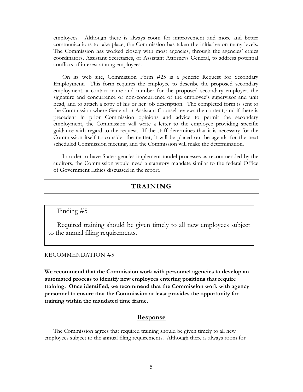employees. Although there is always room for improvement and more and better communications to take place, the Commission has taken the initiative on many levels. The Commission has worked closely with most agencies, through the agencies' ethics coordinators, Assistant Secretaries, or Assistant Attorneys General, to address potential conflicts of interest among employees.

On its web site, Commission Form #25 is a generic Request for Secondary Employment. This form requires the employee to describe the proposed secondary employment, a contact name and number for the proposed secondary employer, the signature and concurrence or non-concurrence of the employee's supervisor and unit head, and to attach a copy of his or her job description. The completed form is sent to the Commission where General or Assistant Counsel reviews the content, and if there is precedent in prior Commission opinions and advice to permit the secondary employment, the Commission will write a letter to the employee providing specific guidance with regard to the request. If the staff determines that it is necessary for the Commission itself to consider the matter, it will be placed on the agenda for the next scheduled Commission meeting, and the Commission will make the determination.

 In order to have State agencies implement model processes as recommended by the auditors, the Commission would need a statutory mandate similar to the federal Office of Government Ethics discussed in the report.

### **TRAINING**

#### Finding #5

Required training should be given timely to all new employees subject to the annual filing requirements.

#### RECOMMENDATION #5

**We recommend that the Commission work with personnel agencies to develop an automated process to identify new employees entering positions that require training. Once identified, we recommend that the Commission work with agency personnel to ensure that the Commission at least provides the opportunity for training within the mandated time frame.** 

#### **Response**

 The Commission agrees that required training should be given timely to all new employees subject to the annual filing requirements. Although there is always room for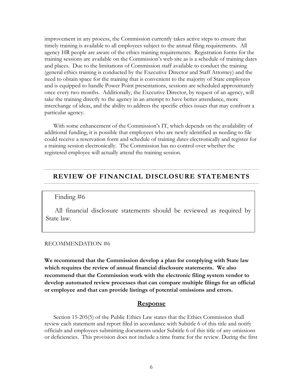improvement in any process, the Commission currently takes active steps to ensure that timely training is available to all employees subject to the annual filing requirements. All agency HR people are aware of the ethics training requirements. Registration forms for the training sessions are available on the Commission's web site as is a schedule of training dates and places. Due to the limitations of Commission staff available to conduct the training (general ethics training is conducted by the Executive Director and Staff Attorney) and the need to obtain space for the training that is convenient to the majority of State employees and is equipped to handle Power Point presentations, sessions are scheduled approximately once every two months. Additionally, the Executive Director, by request of an agency, will take the training directly to the agency in an attempt to have better attendance, more interchange of ideas, and the ability to address the specific ethics issues that may confront a particular agency.

 With some enhancement of the Commission's IT, which depends on the availability of additional funding, it is possible that employees who are newly identified as needing to file could receive a reservation form and schedule of training dates electronically and register for a training session electronically. The Commission has no control over whether the registered employee will actually attend the training session.

#### **REVIEW OF FINANCIAL DISCLOSURE STATEMENTS**

#### Finding #6

All financial disclosure statements should be reviewed as required by State law.

#### RECOMMENDATION #6

**We recommend that the Commission develop a plan for complying with State law which requires the review of annual financial disclosure statements. We also recommend that the Commission work with the electronic filing system vendor to develop automated review processes that can compare multiple filings for an official or employee and that can provide listings of potential omissions and errors.** 

#### **Response**

Section 15-205(5) of the Public Ethics Law states that the Ethics Commission shall review each statement and report filed in accordance with Subtitle 6 of this title and notify officials and employees submitting documents under Subtitle 6 of this title of any omissions or deficiencies. This provision does not include a time frame for the review. During the first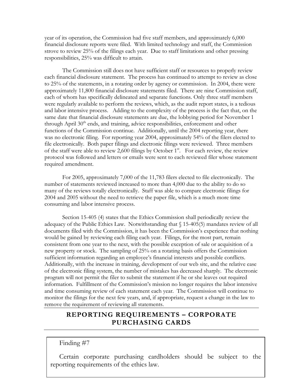year of its operation, the Commission had five staff members, and approximately 6,000 financial disclosure reports were filed. With limited technology and staff, the Commission strove to review 25% of the filings each year. Due to staff limitations and other pressing responsibilities, 25% was difficult to attain.

The Commission still does not have sufficient staff or resources to properly review each financial disclosure statement. The process has continued to attempt to review as close to 25% of the statements, in a rotating order by agency or commission. In 2004, there were approximately 11,800 financial disclosure statements filed. There are nine Commission staff, each of whom has specifically delineated and separate functions. Only three staff members were regularly available to perform the reviews, which, as the audit report states, is a tedious and labor intensive process. Adding to the complexity of the process is the fact that, on the same date that financial disclosure statements are due, the lobbying period for November 1 through April 30<sup>th</sup> ends, and training, advice responsibilities, enforcement and other functions of the Commission continue. Additionally, until the 2004 reporting year, there was no electronic filing. For reporting year 2004, approximately 54% of the filers elected to file electronically. Both paper filings and electronic filings were reviewed. Three members of the staff were able to review 2,600 filings by October  $1<sup>st</sup>$ . For each review, the review protocol was followed and letters or emails were sent to each reviewed filer whose statement required amendment.

For 2005, approximately 7,000 of the 11,783 filers elected to file electronically. The number of statements reviewed increased to more than 4,000 due to the ability to do so many of the reviews totally electronically. Staff was able to compare electronic filings for 2004 and 2005 without the need to retrieve the paper file, which is a much more time consuming and labor intensive process.

Section 15-405 (4) states that the Ethics Commission shall periodically review the adequacy of the Public Ethics Law. Notwithstanding that  $\S$  15-405(5) mandates review of all documents filed with the Commission, it has been the Commission's experience that nothing would be gained by reviewing each filing each year. Filings, for the most part, remain consistent from one year to the next, with the possible exception of sale or acquisition of a new property or stock. The sampling of 25% on a rotating basis offers the Commission sufficient information regarding an employee's financial interests and possible conflicts. Additionally, with the increase in training, development of our web site, and the relative ease of the electronic filing system, the number of mistakes has decreased sharply. The electronic program will not permit the filer to submit the statement if he or she leaves out required information. Fulfillment of the Commission's mission no longer requires the labor intensive and time consuming review of each statement each year. The Commission will continue to monitor the filings for the next few years, and, if appropriate, request a change in the law to remove the requirement of reviewing all statements.

### **REPORTING REQUIREMENTS – CORPORATE PURCHASING CARDS**

Finding #7

reporting requirements of the ethics law. Certain corporate purchasing cardholders should be subject to the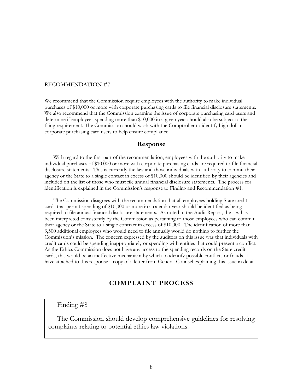#### RECOMMENDATION #7

We recommend that the Commission require employees with the authority to make individual purchases of \$10,000 or more with corporate purchasing cards to file financial disclosure statements. We also recommend that the Commission examine the issue of corporate purchasing card users and determine if employees spending more than \$10,000 in a given year should also be subject to the filing requirement. The Commission should work with the Comptroller to identify high dollar corporate purchasing card users to help ensure compliance.

#### **Response**

 With regard to the first part of the recommendation, employees with the authority to make individual purchases of \$10,000 or more with corporate purchasing cards are required to file financial disclosure statements. This is currently the law and those individuals with authority to commit their agency or the State to a single contact in excess of \$10,000 should be identified by their agencies and included on the list of those who must file annual financial disclosure statements. The process for identification is explained in the Commission's response to Finding and Recommendation #1.

 The Commission disagrees with the recommendation that all employees holding State credit cards that permit spending of \$10,000 or more in a calendar year should be identified as being required to file annual financial disclosure statements. As noted in the Audit Report, the law has been interpreted consistently by the Commission as pertaining to those employees who can commit their agency or the State to a single contract in excess of \$10,000. The identification of more than 3,500 additional employees who would need to file annually would do nothing to further the Commission's mission. The concern expressed by the auditors on this issue was that individuals with credit cards could be spending inappropriately or spending with entities that could present a conflict. As the Ethics Commission does not have any access to the spending records on the State credit cards, this would be an ineffective mechanism by which to identify possible conflicts or frauds. I have attached to this response a copy of a letter from General Counsel explaining this issue in detail.

#### **COMPLAINT PROCESS**

#### Finding #8

The Commission should develop comprehensive guidelines for resolving complaints relating to potential ethics law violations.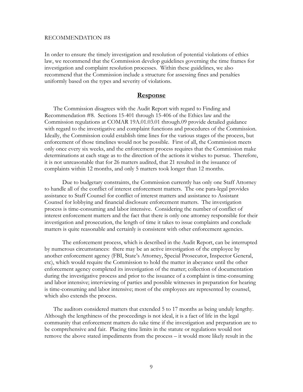#### RECOMMENDATION #8

In order to ensure the timely investigation and resolution of potential violations of ethics law, we recommend that the Commission develop guidelines governing the time frames for investigation and complaint resolution processes. Within these guidelines, we also recommend that the Commission include a structure for assessing fines and penalties uniformly based on the types and severity of violations.

#### **Response**

 The Commission disagrees with the Audit Report with regard to Finding and Recommendation #8. Sections 15-401 through 15-406 of the Ethics law and the Commission regulations at COMAR 19A.01.03.01 through.09 provide detailed guidance with regard to the investigative and complaint functions and procedures of the Commission. Ideally, the Commission could establish time lines for the various stages of the process, but enforcement of those timelines would not be possible. First of all, the Commission meets only once every six weeks, and the enforcement process requires that the Commission make determinations at each stage as to the direction of the actions it wishes to pursue. Therefore, it is not unreasonable that for 26 matters audited, that 21 resulted in the issuance of complaints within 12 months, and only 5 matters took longer than 12 months.

Due to budgetary constraints, the Commission currently has only one Staff Attorney to handle all of the conflict of interest enforcement matters. The one para-legal provides assistance to Staff Counsel for conflict of interest matters and assistance to Assistant Counsel for lobbying and financial disclosure enforcement matters. The investigation process is time-consuming and labor intensive. Considering the number of conflict of interest enforcement matters and the fact that there is only one attorney responsible for their investigation and prosecution, the length of time it takes to issue complaints and conclude matters is quite reasonable and certainly is consistent with other enforcement agencies.

The enforcement process, which is described in the Audit Report, can be interrupted by numerous circumstances: there may be an active investigation of the employee by another enforcement agency (FBI, State's Attorney, Special Prosecutor, Inspector General, etc), which would require the Commission to hold the matter in abeyance until the other enforcement agency completed its investigation of the matter; collection of documentation during the investigative process and prior to the issuance of a complaint is time-consuming and labor intensive; interviewing of parties and possible witnesses in preparation for hearing is time-consuming and labor intensive; most of the employees are represented by counsel, which also extends the process.

 The auditors considered matters that extended 5 to 17 months as being unduly lengthy. Although the lengthiness of the proceedings is not ideal, it is a fact of life in the legal community that enforcement matters do take time if the investigation and preparation are to be comprehensive and fair. Placing time limits in the statute or regulations would not remove the above stated impediments from the process – it would more likely result in the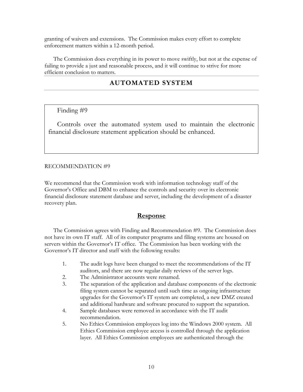granting of waivers and extensions. The Commission makes every effort to complete enforcement matters within a 12-month period.

 The Commission does everything in its power to move swiftly, but not at the expense of failing to provide a just and reasonable process, and it will continue to strive for more efficient conclusion to matters.

### **AUTOMATED SYSTEM**

#### Finding #9

Controls over the automated system used to maintain the electronic financial disclosure statement application should be enhanced.

#### RECOMMENDATION #9

We recommend that the Commission work with information technology staff of the Governor's Office and DBM to enhance the controls and security over its electronic financial disclosure statement database and server, including the development of a disaster recovery plan.

#### **Response**

 The Commission agrees with Finding and Recommendation #9. The Commission does not have its own IT staff. All of its computer programs and filing systems are housed on servers within the Governor's IT office. The Commission has been working with the Governor's IT director and staff with the following results:

- 1. The audit logs have been changed to meet the recommendations of the IT auditors, and there are now regular daily reviews of the server logs.
- 2. The Administrator accounts were renamed.
- 3. The separation of the application and database components of the electronic filing system cannot be separated until such time as ongoing infrastructure upgrades for the Governor's IT system are completed, a new DMZ created and additional hardware and software procured to support the separation.
- 4. Sample databases were removed in accordance with the IT audit recommendation.
- 5. No Ethics Commission employees log into the Windows 2000 system. All Ethics Commission employee access is controlled through the application layer. All Ethics Commission employees are authenticated through the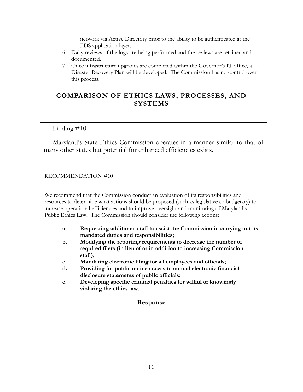network via Active Directory prior to the ability to be authenticated at the FDS application layer.

- 6. Daily reviews of the logs are being performed and the reviews are retained and documented.
- 7. Once infrastructure upgrades are completed within the Governor's IT office, a Disaster Recovery Plan will be developed. The Commission has no control over this process.

### **COMPARISON OF ETHICS LAWS, PROCESSES, AND SYSTEMS**

Finding #10

Maryland's State Ethics Commission operates in a manner similar to that of many other states but potential for enhanced efficiencies exists.

#### RECOMMENDATION #10

We recommend that the Commission conduct an evaluation of its responsibilities and resources to determine what actions should be proposed (such as legislative or budgetary) to increase operational efficiencies and to improve oversight and monitoring of Maryland's Public Ethics Law. The Commission should consider the following actions:

- **a. Requesting additional staff to assist the Commission in carrying out its mandated duties and responsibilities;**
- **b. Modifying the reporting requirements to decrease the number of required filers (in lieu of or in addition to increasing Commission staff);**
- **c. Mandating electronic filing for all employees and officials;**
- **d. Providing for public online access to annual electronic financial disclosure statements of public officials;**
- **e. Developing specific criminal penalties for willful or knowingly violating the ethics law.**

#### **Response**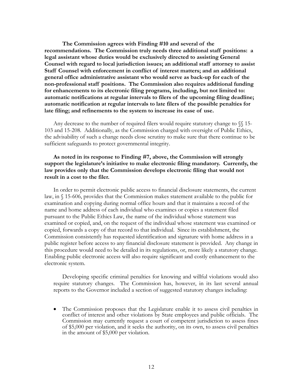**The Commission agrees with Finding #10 and several of the recommendations. The Commission truly needs three additional staff positions: a legal assistant whose duties would be exclusively directed to assisting General Counsel with regard to local jurisdiction issues; an additional staff attorney to assist Staff Counsel with enforcement in conflict of interest matters; and an additional general office administrative assistant who would serve as back-up for each of the non-professional staff positions. The Commission also requires additional funding for enhancements to its electronic filing programs, including, but not limited to: automatic notifications at regular intervals to filers of the upcoming filing deadline; automatic notification at regular intervals to late filers of the possible penalties for late filing; and refinements to the system to increase its ease of use.** 

 Any decrease to the number of required filers would require statutory change to §§ 15- 103 and 15-208. Additionally, as the Commission charged with oversight of Public Ethics, the advisability of such a change needs close scrutiny to make sure that there continue to be sufficient safeguards to protect governmental integrity.

#### **As noted in its response to Finding #7, above, the Commission will strongly support the legislature's initiative to make electronic filing mandatory. Currently, the law provides only that the Commission develops electronic filing that would not result in a cost to the filer.**

 In order to permit electronic public access to financial disclosure statements, the current law, in § 15-606, provides that the Commission makes statement available to the public for examination and copying during normal office hours and that it maintains a record of the name and home address of each individual who examines or copies a statement filed pursuant to the Public Ethics Law, the name of the individual whose statement was examined or copied, and, on the request of the individual whose statement was examined or copied, forwards a copy of that record to that individual. Since its establishment, the Commission consistently has requested identification and signature with home address in a public register before access to any financial disclosure statement is provided. Any change in this procedure would need to be detailed in its regulations, or, more likely a statutory change. Enabling public electronic access will also require significant and costly enhancement to the electronic system.

Developing specific criminal penalties for knowing and willful violations would also require statutory changes. The Commission has, however, in its last several annual reports to the Governor included a section of suggested statutory changes including:

• The Commission proposes that the Legislature enable it to assess civil penalties in conflict of interest and other violations by State employees and public officials. The Commission may currently request a court of competent jurisdiction to assess fines of \$5,000 per violation, and it seeks the authority, on its own, to assess civil penalties in the amount of \$5,000 per violation.